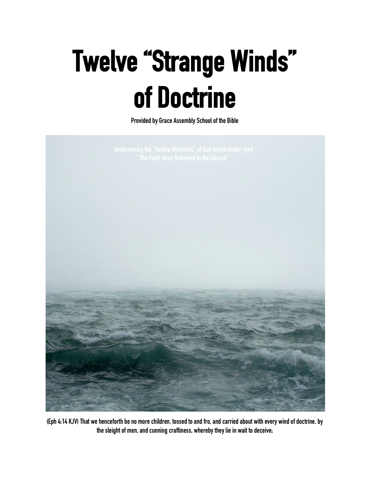# **Twelve "Strange Winds" of Doctrine Provided by Grace Assembly School of the Bible**



**(Eph 4:14 KJV) That we henceforth be no more children, tossed to and fro, and carried about with every wind of doctrine, by the sleight of men, and cunning craftiness, whereby they lie in wait to deceive;**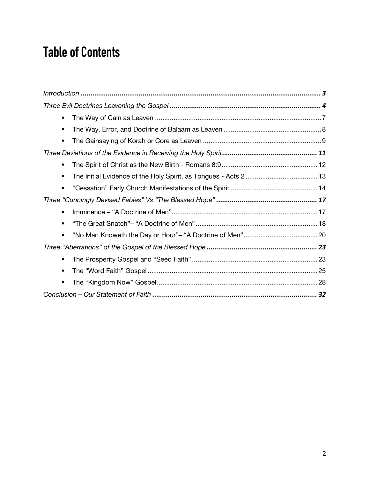# <span id="page-1-0"></span>**Table of Contents**

| ٠              |  |  |
|----------------|--|--|
| ٠              |  |  |
| $\blacksquare$ |  |  |
|                |  |  |
| $\blacksquare$ |  |  |
| ٠              |  |  |
| $\blacksquare$ |  |  |
|                |  |  |
|                |  |  |
| $\blacksquare$ |  |  |
| $\blacksquare$ |  |  |
| ٠              |  |  |
|                |  |  |
| $\blacksquare$ |  |  |
| $\blacksquare$ |  |  |
| $\blacksquare$ |  |  |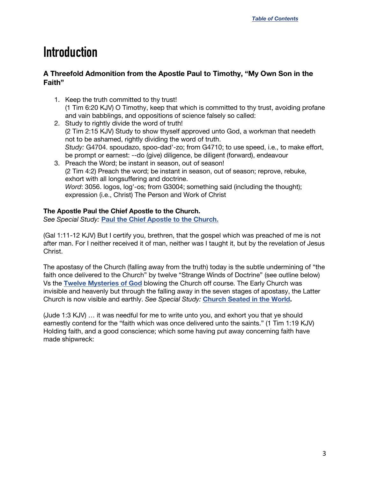# <span id="page-2-0"></span>**Introduction**

#### **A Threefold Admonition from the Apostle Paul to Timothy, "My Own Son in the Faith"**

- 1. Keep the truth committed to thy trust! (1 Tim 6:20 KJV) O Timothy, keep that which is committed to thy trust, avoiding profane and vain babblings, and oppositions of science falsely so called:
- 2. Study to rightly divide the word of truth! (2 Tim 2:15 KJV) Study to show thyself approved unto God, a workman that needeth not to be ashamed, rightly dividing the word of truth. *Study:* G4704. spoudazo, spoo-dad'-zo; from G4710; to use speed, i.e., to make effort, be prompt or earnest: --do (give) diligence, be diligent (forward), endeavour
- 3. Preach the Word; be instant in season, out of season! (2 Tim 4:2) Preach the word; be instant in season, out of season; reprove, rebuke, exhort with all longsuffering and doctrine. *Word*: 3056. logos, log'-os; from G3004; something said (including the thought); expression (i.e., Christ) The Person and Work of Christ

#### **The Apostle Paul the Chief Apostle to the Church.**

*See Special Study:* **[Paul the Chief Apostle to the Church.](https://graceassemblysandiego.info/wp-content/uploads/PaultheChiefApostletotheChurch.pdf)**

(Gal 1:11-12 KJV) But I certify you, brethren, that the gospel which was preached of me is not after man. For I neither received it of man, neither was I taught it, but by the revelation of Jesus Christ.

The apostasy of the Church (falling away from the truth) today is the subtle undermining of "the faith once delivered to the Church" by twelve "Strange Winds of Doctrine" (see outline below) Vs the **[Twelve Mysteries of God](https://graceassemblysandiego.info/wp-content/uploads/TwelveMysteriesofGod.pdf)** blowing the Church off course. The Early Church was invisible and heavenly but through the falling away in the seven stages of apostasy, the Latter Church is now visible and earthly. *See Special Study:* **[Church Seated in the World.](https://graceassemblysandiego.info/wp-content/uploads/ChurchSeatedintheWorldopt.pdf)** 

(Jude 1:3 KJV) … it was needful for me to write unto you, and exhort you that ye should earnestly contend for the "faith which was once delivered unto the saints." (1 Tim 1:19 KJV) Holding faith, and a good conscience; which some having put away concerning faith have made shipwreck: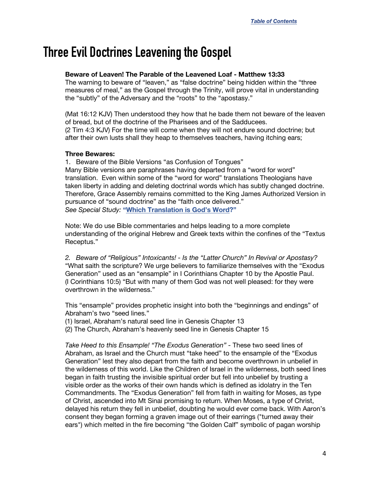# <span id="page-3-0"></span>**Three Evil Doctrines Leavening the Gospel**

#### **Beware of Leaven! The Parable of the Leavened Loaf - Matthew 13:33**

The warning to beware of "leaven," as "false doctrine" being hidden within the "three measures of meal," as the Gospel through the Trinity, will prove vital in understanding the "subtly" of the Adversary and the "roots" to the "apostasy."

(Mat 16:12 KJV) Then understood they how that he bade them not beware of the leaven of bread, but of the doctrine of the Pharisees and of the Sadducees. (2 Tim 4:3 KJV) For the time will come when they will not endure sound doctrine; but after their own lusts shall they heap to themselves teachers, having itching ears;

#### **Three Bewares:**

1. Beware of the Bible Versions "as Confusion of Tongues" Many Bible versions are paraphrases having departed from a "word for word" translation. Even within some of the "word for word" translations Theologians have taken liberty in adding and deleting doctrinal words which has subtly changed doctrine. Therefore, Grace Assembly remains committed to the King James Authorized Version in pursuance of "sound doctrine" as the "faith once delivered." *See Special Study:* **["Which Translation is God's Word?"](https://graceassemblysandiego.info/wp-content/uploads/WhichTranslationisGodsWordArticle.pdf)**

Note: We do use Bible commentaries and helps leading to a more complete understanding of the original Hebrew and Greek texts within the confines of the "Textus Receptus."

*2. Beware of "Religious" Intoxicants! - Is the "Latter Church" In Revival or Apostasy?* "What saith the scripture? We urge believers to familiarize themselves with the "Exodus Generation" used as an "ensample" in I Corinthians Chapter 10 by the Apostle Paul. (I Corinthians 10:5) "But with many of them God was not well pleased: for they were overthrown in the wilderness."

This "ensample" provides prophetic insight into both the "beginnings and endings" of Abraham's two "seed lines."

(1) Israel, Abraham's natural seed line in Genesis Chapter 13

(2) The Church, Abraham's heavenly seed line in Genesis Chapter 15

Take Heed to this Ensample! "The Exodus Generation" - These two seed lines of Abraham, as Israel and the Church must "take heed" to the ensample of the "Exodus Generation" lest they also depart from the faith and become overthrown in unbelief in the wilderness of this world. Like the Children of Israel in the wilderness, both seed lines began in faith trusting the invisible spiritual order but fell into unbelief by trusting a visible order as the works of their own hands which is defined as idolatry in the Ten Commandments. The "Exodus Generation" fell from faith in waiting for Moses, as type of Christ, ascended into Mt Sinai promising to return. When Moses, a type of Christ, delayed his return they fell in unbelief, doubting he would ever come back. With Aaron's consent they began forming a graven image out of their earrings ("turned away their ears") which melted in the fire becoming "the Golden Calf" symbolic of pagan worship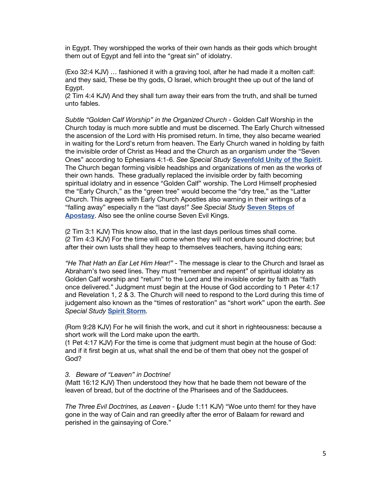in Egypt. They worshipped the works of their own hands as their gods which brought them out of Egypt and fell into the "great sin" of idolatry.

(Exo 32:4 KJV) … fashioned it with a graving tool, after he had made it a molten calf: and they said, These be thy gods, O Israel, which brought thee up out of the land of Egypt.

(2 Tim 4:4 KJV) And they shall turn away their ears from the truth, and shall be turned unto fables.

*Subtle "Golden Calf Worship" in the Organized Church -* Golden Calf Worship in the Church today is much more subtle and must be discerned. The Early Church witnessed the ascension of the Lord with His promised return. In time, they also became wearied in waiting for the Lord's return from heaven. The Early Church waned in holding by faith the invisible order of Christ as Head and the Church as an organism under the "Seven Ones" according to Ephesians 4:1-6. *See Special Study* **[Sevenfold Unity of the Spirit](https://graceassemblysandiego.info/wp-content/uploads/SevenfoldUnityofSpiritopt.pdf)**. The Church began forming visible headships and organizations of men as the works of their own hands. These gradually replaced the invisible order by faith becoming spiritual idolatry and in essence "Golden Calf" worship. The Lord Himself prophesied the "Early Church," as the "green tree" would become the "dry tree," as the "Latter Church. This agrees with Early Church Apostles also warning in their writings of a "falling away" especially n the "last days!" *See Special Study* **[Seven Steps of](https://graceassemblysandiego.info/wp-content/uploads/SevenStepsofApostasyopt.pdf)  [Apostasy](https://graceassemblysandiego.info/wp-content/uploads/SevenStepsofApostasyopt.pdf)**. Also see the online course Seven Evil Kings.

(2 Tim 3:1 KJV) This know also, that in the last days perilous times shall come. (2 Tim 4:3 KJV) For the time will come when they will not endure sound doctrine; but after their own lusts shall they heap to themselves teachers, having itching ears;

*"He That Hath an Ear Let Him Hear!" -* The message is clear to the Church and Israel as Abraham's two seed lines. They must "remember and repent" of spiritual idolatry as Golden Calf worship and "return" to the Lord and the invisible order by faith as "faith once delivered." Judgment must begin at the House of God according to 1 Peter 4:17 and Revelation 1, 2 & 3. The Church will need to respond to the Lord during this time of judgement also known as the "times of restoration" as "short work" upon the earth. *See Special Study* **[Spirit Storm](https://graceassemblysandiego.info/wp-content/uploads/SpiritStorm.pdf)**.

(Rom 9:28 KJV) For he will finish the work, and cut it short in righteousness: because a short work will the Lord make upon the earth.

(1 Pet 4:17 KJV) For the time is come that judgment must begin at the house of God: and if it first begin at us, what shall the end be of them that obey not the gospel of God?

#### *3. Beware of "Leaven" in Doctrine!*

(Matt 16:12 KJV) Then understood they how that he bade them not beware of the leaven of bread, but of the doctrine of the Pharisees and of the Sadducees.

*The Three Evil Doctrines, as Leaven -* **(**Jude 1:11 KJV) "Woe unto them! for they have gone in the way of Cain and ran greedily after the error of Balaam for reward and perished in the gainsaying of Core."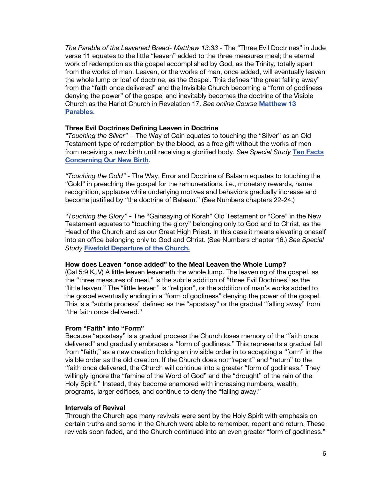*The Parable of the Leavened Bread- Matthew 13:33 -* The "Three Evil Doctrines" in Jude verse 11 equates to the little "leaven" added to the three measures meal; the eternal work of redemption as the gospel accomplished by God, as the Trinity, totally apart from the works of man. Leaven, or the works of man, once added, will eventually leaven the whole lump or loaf of doctrine, as the Gospel. This defines "the great falling away" from the "faith once delivered" and the Invisible Church becoming a "form of godliness denying the power" of the gospel and inevitably becomes the doctrine of the Visible Church as the Harlot Church in Revelation 17. *See online Course* **[Matthew](https://graceassemblysandiego.org/wp-content/uploads/Matthew13ParablesCourseopt.pdf) 13 [Parables](https://graceassemblysandiego.org/wp-content/uploads/Matthew13ParablesCourseopt.pdf)**.

#### **Three Evil Doctrines Defining Leaven in Doctrine**

*"Touching the Silver" -* The Way of Cain equates to touching the "Silver" as an Old Testament type of redemption by the blood, as a free gift without the works of men from receiving a new birth until receiving a glorified body. *See Special Study* **[Ten Facts](https://graceassemblysandiego.info/wp-content/uploads/TenFactsConcerningourNewBirth.pdf)  [Concerning Our New Birth](https://graceassemblysandiego.info/wp-content/uploads/TenFactsConcerningourNewBirth.pdf)**.

*"Touching the Gold" -* The Way, Error and Doctrine of Balaam equates to touching the "Gold" in preaching the gospel for the remunerations, i.e., monetary rewards, name recognition, applause while underlying motives and behaviors gradually increase and become justified by "the doctrine of Balaam." (See Numbers chapters 22-24.)

*"Touching the Glory"* **-** The "Gainsaying of Korah" Old Testament or "Core" in the New Testament equates to "touching the glory" belonging only to God and to Christ, as the Head of the Church and as our Great High Priest. In this case it means elevating oneself into an office belonging only to God and Christ. (See Numbers chapter 16.) *See Special Study* **[Fivefold Departure of the Church.](https://graceassemblysandiego.info/wp-content/uploads/FivefoldDepartureoftheChurch.pdf)**

#### **How does Leaven "once added" to the Meal Leaven the Whole Lump?**

(Gal 5:9 KJV) A little leaven leaveneth the whole lump. The leavening of the gospel, as the "three measures of meal," is the subtle addition of "three Evil Doctrines" as the "little leaven." The "little leaven" is "religion", or the addition of man's works added to the gospel eventually ending in a "form of godliness" denying the power of the gospel. This is a "subtle process" defined as the "apostasy" or the gradual "falling away" from "the faith once delivered."

#### **From "Faith" into "Form"**

Because "apostasy" is a gradual process the Church loses memory of the "faith once delivered" and gradually embraces a "form of godliness." This represents a gradual fall from "faith," as a new creation holding an invisible order in to accepting a "form" in the visible order as the old creation. If the Church does not "repent" and "return" to the "faith once delivered, the Church will continue into a greater "form of godliness." They willingly ignore the "famine of the Word of God" and the "drought" of the rain of the Holy Spirit." Instead, they become enamored with increasing numbers, wealth, programs, larger edifices, and continue to deny the "falling away."

#### **Intervals of Revival**

Through the Church age many revivals were sent by the Holy Spirit with emphasis on certain truths and some in the Church were able to remember, repent and return. These revivals soon faded, and the Church continued into an even greater "form of godliness."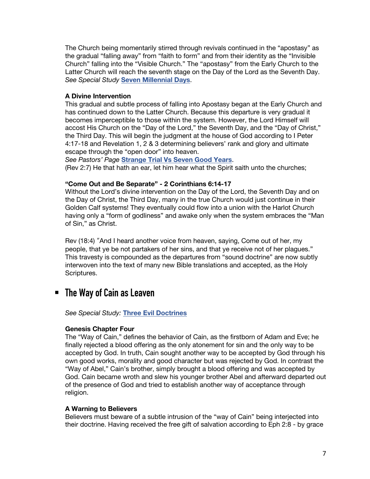The Church being momentarily stirred through revivals continued in the "apostasy" as the gradual "falling away" from "faith to form" and from their identity as the "Invisible Church" falling into the "Visible Church." The "apostasy" from the Early Church to the Latter Church will reach the seventh stage on the Day of the Lord as the Seventh Day. *See Special Study* **[Seven Millennial Days](https://graceassemblysandiego.info/wp-content/uploads/SevenMillennialDaysopt.pdf)**.

#### **A Divine Intervention**

This gradual and subtle process of falling into Apostasy began at the Early Church and has continued down to the Latter Church. Because this departure is very gradual it becomes imperceptible to those within the system. However, the Lord Himself will accost His Church on the "Day of the Lord," the Seventh Day, and the "Day of Christ," the Third Day. This will begin the judgment at the house of God according to I Peter 4:17-18 and Revelation 1, 2 & 3 determining believers' rank and glory and ultimate escape through the "open door" into heaven.

*See Pastors' Page* **[Strange Trial Vs Seven Good Years](https://graceassemblysandiego.info/strange-trial-vs-seven-good-years-3/)**. (Rev 2:7) He that hath an ear, let him hear what the Spirit saith unto the churches;

#### **"Come Out and Be Separate" - 2 Corinthians 6:14-17**

Without the Lord's divine intervention on the Day of the Lord, the Seventh Day and on the Day of Christ, the Third Day, many in the true Church would just continue in their Golden Calf systems! They eventually could flow into a union with the Harlot Church having only a "form of godliness" and awake only when the system embraces the "Man of Sin," as Christ.

Rev (18:4) "And I heard another voice from heaven, saying, Come out of her, my people, that ye be not partakers of her sins, and that ye receive not of her plagues." This travesty is compounded as the departures from "sound doctrine" are now subtly interwoven into the text of many new Bible translations and accepted, as the Holy Scriptures.

# § **The Way of Cain as Leaven**

*See Special Study:* **[Three Evil Doctrines](https://graceassemblysandiego.info/wp-content/uploads/ThreeEvilDoctrines.pdf)**

#### **Genesis Chapter Four**

The "Way of Cain," defines the behavior of Cain, as the firstborn of Adam and Eve; he finally rejected a blood offering as the only atonement for sin and the only way to be accepted by God. In truth, Cain sought another way to be accepted by God through his own good works, morality and good character but was rejected by God. In contrast the "Way of Abel," Cain's brother, simply brought a blood offering and was accepted by God. Cain became wroth and slew his younger brother Abel and afterward departed out of the presence of God and tried to establish another way of acceptance through religion.

#### **A Warning to Believers**

Believers must beware of a subtle intrusion of the "way of Cain" being interjected into their doctrine. Having received the free gift of salvation according to Eph 2:8 - by grace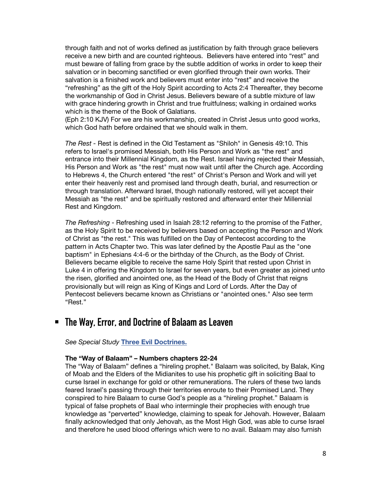through faith and not of works defined as justification by faith through grace believers receive a new birth and are counted righteous. Believers have entered into "rest" and must beware of falling from grace by the subtle addition of works in order to keep their salvation or in becoming sanctified or even glorified through their own works. Their salvation is a finished work and believers must enter into "rest" and receive the "refreshing" as the gift of the Holy Spirit according to Acts 2:4 Thereafter, they become the workmanship of God in Christ Jesus. Believers beware of a subtle mixture of law with grace hindering growth in Christ and true fruitfulness; walking in ordained works which is the theme of the Book of Galatians.

(Eph 2:10 KJV) For we are his workmanship, created in Christ Jesus unto good works, which God hath before ordained that we should walk in them.

*The Rest -* Rest is defined in the Old Testament as "Shiloh" in Genesis 49:10. This refers to Israel's promised Messiah, both His Person and Work as "the rest" and entrance into their Millennial Kingdom, as the Rest. Israel having rejected their Messiah, His Person and Work as "the rest" must now wait until after the Church age. According to Hebrews 4, the Church entered "the rest" of Christ's Person and Work and will yet enter their heavenly rest and promised land through death, burial, and resurrection or through translation. Afterward Israel, though nationally restored, will yet accept their Messiah as "the rest" and be spiritually restored and afterward enter their Millennial Rest and Kingdom.

*The Refreshing* - Refreshing used in Isaiah 28:12 referring to the promise of the Father, as the Holy Spirit to be received by believers based on accepting the Person and Work of Christ as "the rest." This was fulfilled on the Day of Pentecost according to the pattern in Acts Chapter two. This was later defined by the Apostle Paul as the "one baptism" in Ephesians 4:4-6 or the birthday of the Church, as the Body of Christ. Believers became eligible to receive the same Holy Spirit that rested upon Christ in Luke 4 in offering the Kingdom to Israel for seven years, but even greater as joined unto the risen, glorified and anointed one, as the Head of the Body of Christ that reigns provisionally but will reign as King of Kings and Lord of Lords. After the Day of Pentecost believers became known as Christians or "anointed ones." Also see term "Rest."

## § **The Way, Error, and Doctrine of Balaam as Leaven**

*See Special Study* **[Three Evil Doctrines.](https://graceassemblysandiego.info/wp-content/uploads/ThreeEvilDoctrines.pdf)**

#### **The "Way of Balaam" – Numbers chapters 22-24**

The "Way of Balaam" defines a "hireling prophet." Balaam was solicited, by Balak, King of Moab and the Elders of the Midianites to use his prophetic gift in soliciting Baal to curse Israel in exchange for gold or other remunerations. The rulers of these two lands feared Israel's passing through their territories enroute to their Promised Land. They conspired to hire Balaam to curse God's people as a "hireling prophet." Balaam is typical of false prophets of Baal who intermingle their prophecies with enough true knowledge as "perverted" knowledge, claiming to speak for Jehovah. However, Balaam finally acknowledged that only Jehovah, as the Most High God, was able to curse Israel and therefore he used blood offerings which were to no avail. Balaam may also furnish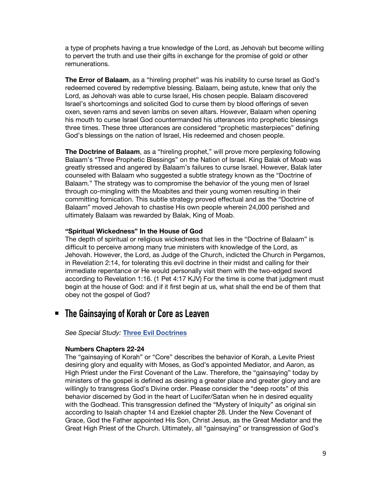a type of prophets having a true knowledge of the Lord, as Jehovah but become willing to pervert the truth and use their gifts in exchange for the promise of gold or other remunerations.

**The Error of Balaam**, as a "hireling prophet" was his inability to curse Israel as God's redeemed covered by redemptive blessing. Balaam, being astute, knew that only the Lord, as Jehovah was able to curse Israel, His chosen people. Balaam discovered Israel's shortcomings and solicited God to curse them by blood offerings of seven oxen, seven rams and seven lambs on seven altars. However, Balaam when opening his mouth to curse Israel God countermanded his utterances into prophetic blessings three times. These three utterances are considered "prophetic masterpieces" defining God's blessings on the nation of Israel, His redeemed and chosen people.

**The Doctrine of Balaam**, as a "hireling prophet," will prove more perplexing following Balaam's "Three Prophetic Blessings" on the Nation of Israel. King Balak of Moab was greatly stressed and angered by Balaam's failures to curse Israel. However, Balak later counseled with Balaam who suggested a subtle strategy known as the "Doctrine of Balaam." The strategy was to compromise the behavior of the young men of Israel through co-mingling with the Moabites and their young women resulting in their committing fornication. This subtle strategy proved effectual and as the "Doctrine of Balaam" moved Jehovah to chastise His own people wherein 24,000 perished and ultimately Balaam was rewarded by Balak, King of Moab.

#### **"Spiritual Wickedness" In the House of God**

The depth of spiritual or religious wickedness that lies in the "Doctrine of Balaam" is difficult to perceive among many true ministers with knowledge of the Lord, as Jehovah. However, the Lord, as Judge of the Church, indicted the Church in Pergamos, in Revelation 2:14, for tolerating this evil doctrine in their midst and calling for their immediate repentance or He would personally visit them with the two-edged sword according to Revelation 1:16. (1 Pet 4:17 KJV) For the time is come that judgment must begin at the house of God: and if it first begin at us, what shall the end be of them that obey not the gospel of God?

## § **The Gainsaying of Korah or Core as Leaven**

*See Special Study:* **[Three Evil Doctrines](https://graceassemblysandiego.info/wp-content/uploads/ThreeEvilDoctrines.pdf)**

#### **Numbers Chapters 22-24**

The "gainsaying of Korah" or "Core" describes the behavior of Korah, a Levite Priest desiring glory and equality with Moses, as God's appointed Mediator, and Aaron, as High Priest under the First Covenant of the Law. Therefore, the "gainsaying" today by ministers of the gospel is defined as desiring a greater place and greater glory and are willingly to transgress God's Divine order. Please consider the "deep roots" of this behavior discerned by God in the heart of Lucifer/Satan when he in desired equality with the Godhead. This transgression defined the "Mystery of Iniquity" as original sin according to Isaiah chapter 14 and Ezekiel chapter 28. Under the New Covenant of Grace, God the Father appointed His Son, Christ Jesus, as the Great Mediator and the Great High Priest of the Church. Ultimately, all "gainsaying" or transgression of God's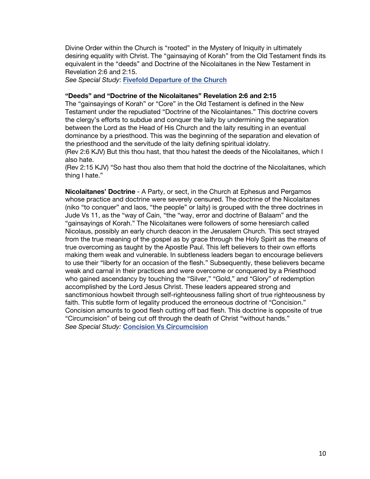Divine Order within the Church is "rooted" in the Mystery of Iniquity in ultimately desiring equality with Christ. The "gainsaying of Korah" from the Old Testament finds its equivalent in the "deeds" and Doctrine of the Nicolaitanes in the New Testament in Revelation 2:6 and 2:15.

*See Special Study*: **[Fivefold Departure of the Church](https://graceassemblysandiego.info/wp-content/uploads/FivefoldDepartureoftheChurch.pdf)**

#### **"Deeds" and "Doctrine of the Nicolaitanes" Revelation 2:6 and 2:15**

The "gainsayings of Korah" or "Core" in the Old Testament is defined in the New Testament under the repudiated "Doctrine of the Nicolaintanes." This doctrine covers the clergy's efforts to subdue and conquer the laity by undermining the separation between the Lord as the Head of His Church and the laity resulting in an eventual dominance by a priesthood. This was the beginning of the separation and elevation of the priesthood and the servitude of the laity defining spiritual idolatry.

(Rev 2:6 KJV) But this thou hast, that thou hatest the deeds of the Nicolaitanes, which I also hate.

(Rev 2:15 KJV) "So hast thou also them that hold the doctrine of the Nicolaitanes, which thing I hate."

**Nicolaitanes' Doctrine** - A Party, or sect, in the Church at Ephesus and Pergamos whose practice and doctrine were severely censured. The doctrine of the Nicolaitanes (niko "to conquer" and laos, "the people" or laity) is grouped with the three doctrines in Jude Vs 11, as the "way of Cain, "the "way, error and doctrine of Balaam" and the "gainsayings of Korah." The Nicolaitanes were followers of some heresiarch called Nicolaus, possibly an early church deacon in the Jerusalem Church. This sect strayed from the true meaning of the gospel as by grace through the Holy Spirit as the means of true overcoming as taught by the Apostle Paul. This left believers to their own efforts making them weak and vulnerable. In subtleness leaders began to encourage believers to use their "liberty for an occasion of the flesh." Subsequently, these believers became weak and carnal in their practices and were overcome or conquered by a Priesthood who gained ascendancy by touching the "Silver," "Gold," and "Glory" of redemption accomplished by the Lord Jesus Christ. These leaders appeared strong and sanctimonious howbeit through self-righteousness falling short of true righteousness by faith. This subtle form of legality produced the erroneous doctrine of "Concision." Concision amounts to good flesh cutting off bad flesh. This doctrine is opposite of true "Circumcision" of being cut off through the death of Christ "without hands." *See Special Study:* **[Concision Vs Circumcision](https://graceassemblysandiego.info/wp-content/uploads/ConcisionvsCircumcision.pdf)**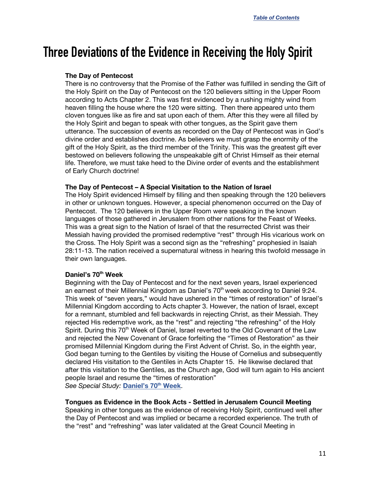# <span id="page-10-0"></span>**Three Deviations of the Evidence in Receiving the Holy Spirit**

#### **The Day of Pentecost**

There is no controversy that the Promise of the Father was fulfilled in sending the Gift of the Holy Spirit on the Day of Pentecost on the 120 believers sitting in the Upper Room according to Acts Chapter 2. This was first evidenced by a rushing mighty wind from heaven filling the house where the 120 were sitting. Then there appeared unto them cloven tongues like as fire and sat upon each of them. After this they were all filled by the Holy Spirit and began to speak with other tongues, as the Spirit gave them utterance. The succession of events as recorded on the Day of Pentecost was in God's divine order and establishes doctrine. As believers we must grasp the enormity of the gift of the Holy Spirit, as the third member of the Trinity. This was the greatest gift ever bestowed on believers following the unspeakable gift of Christ Himself as their eternal life. Therefore, we must take heed to the Divine order of events and the establishment of Early Church doctrine!

#### **The Day of Pentecost – A Special Visitation to the Nation of Israel**

The Holy Spirit evidenced Himself by filling and then speaking through the 120 believers in other or unknown tongues. However, a special phenomenon occurred on the Day of Pentecost. The 120 believers in the Upper Room were speaking in the known languages of those gathered in Jerusalem from other nations for the Feast of Weeks. This was a great sign to the Nation of Israel of that the resurrected Christ was their Messiah having provided the promised redemptive "rest" through His vicarious work on the Cross. The Holy Spirit was a second sign as the "refreshing" prophesied in Isaiah 28:11-13. The nation received a supernatural witness in hearing this twofold message in their own languages.

#### **Daniel's 70th Week**

Beginning with the Day of Pentecost and for the next seven years, Israel experienced an earnest of their Millennial Kingdom as Daniel's  $70<sup>th</sup>$  week according to Daniel 9:24. This week of "seven years," would have ushered in the "times of restoration" of Israel's Millennial Kingdom according to Acts chapter 3. However, the nation of Israel, except for a remnant, stumbled and fell backwards in rejecting Christ, as their Messiah. They rejected His redemptive work, as the "rest" and rejecting "the refreshing" of the Holy Spirit. During this 70<sup>th</sup> Week of Daniel, Israel reverted to the Old Covenant of the Law and rejected the New Covenant of Grace forfeiting the "Times of Restoration" as their promised Millennial Kingdom during the First Advent of Christ. So, in the eighth year, God began turning to the Gentiles by visiting the House of Cornelius and subsequently declared His visitation to the Gentiles in Acts Chapter 15. He likewise declared that after this visitation to the Gentiles, as the Church age, God will turn again to His ancient people Israel and resume the "times of restoration" *See Special Study:* **[Daniel's 70th](https://graceassemblysandiego.info/wp-content/uploads/Daniels70thWeekopt.pdf) Week**.

#### **Tongues as Evidence in the Book Acts - Settled in Jerusalem Council Meeting**

Speaking in other tongues as the evidence of receiving Holy Spirit, continued well after the Day of Pentecost and was implied or became a recorded experience. The truth of the "rest" and "refreshing" was later validated at the Great Council Meeting in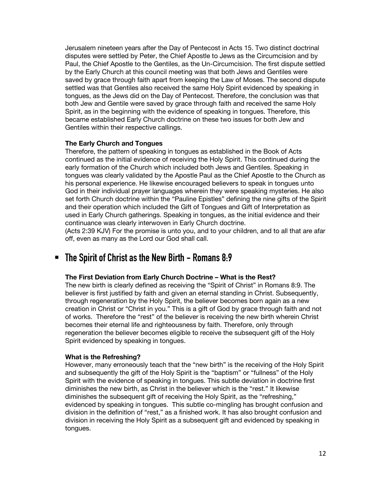Jerusalem nineteen years after the Day of Pentecost in Acts 15. Two distinct doctrinal disputes were settled by Peter, the Chief Apostle to Jews as the Circumcision and by Paul, the Chief Apostle to the Gentiles, as the Un-Circumcision. The first dispute settled by the Early Church at this council meeting was that both Jews and Gentiles were saved by grace through faith apart from keeping the Law of Moses. The second dispute settled was that Gentiles also received the same Holy Spirit evidenced by speaking in tongues, as the Jews did on the Day of Pentecost. Therefore, the conclusion was that both Jew and Gentile were saved by grace through faith and received the same Holy Spirit, as in the beginning with the evidence of speaking in tongues. Therefore, this became established Early Church doctrine on these two issues for both Jew and Gentiles within their respective callings.

#### **The Early Church and Tongues**

Therefore, the pattern of speaking in tongues as established in the Book of Acts continued as the initial evidence of receiving the Holy Spirit. This continued during the early formation of the Church which included both Jews and Gentiles. Speaking in tongues was clearly validated by the Apostle Paul as the Chief Apostle to the Church as his personal experience. He likewise encouraged believers to speak in tongues unto God in their individual prayer languages wherein they were speaking mysteries. He also set forth Church doctrine within the "Pauline Epistles" defining the nine gifts of the Spirit and their operation which included the Gift of Tongues and Gift of Interpretation as used in Early Church gatherings. Speaking in tongues, as the initial evidence and their continuance was clearly interwoven in Early Church doctrine.

(Acts 2:39 KJV) For the promise is unto you, and to your children, and to all that are afar off, even as many as the Lord our God shall call.

## § **The Spirit of Christ as the New Birth - Romans 8:9**

#### **The First Deviation from Early Church Doctrine – What is the Rest?**

The new birth is clearly defined as receiving the "Spirit of Christ" in Romans 8:9. The believer is first justified by faith and given an eternal standing in Christ. Subsequently, through regeneration by the Holy Spirit, the believer becomes born again as a new creation in Christ or "Christ in you." This is a gift of God by grace through faith and not of works. Therefore the "rest" of the believer is receiving the new birth wherein Christ becomes their eternal life and righteousness by faith. Therefore, only through regeneration the believer becomes eligible to receive the subsequent gift of the Holy Spirit evidenced by speaking in tongues.

#### **What is the Refreshing?**

However, many erroneously teach that the "new birth" is the receiving of the Holy Spirit and subsequently the gift of the Holy Spirit is the "baptism" or "fullness" of the Holy Spirit with the evidence of speaking in tongues. This subtle deviation in doctrine first diminishes the new birth, as Christ in the believer which is the "rest." It likewise diminishes the subsequent gift of receiving the Holy Spirit, as the "refreshing," evidenced by speaking in tongues. This subtle co-mingling has brought confusion and division in the definition of "rest," as a finished work. It has also brought confusion and division in receiving the Holy Spirit as a subsequent gift and evidenced by speaking in tongues.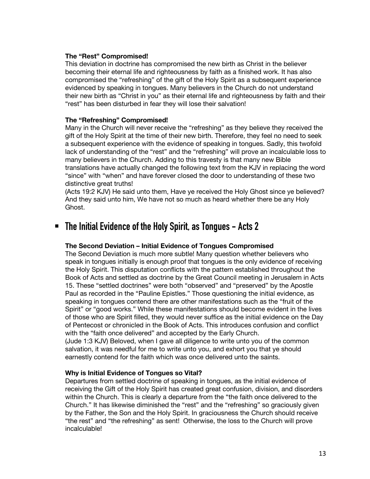#### **The "Rest" Compromised!**

This deviation in doctrine has compromised the new birth as Christ in the believer becoming their eternal life and righteousness by faith as a finished work. It has also compromised the "refreshing" of the gift of the Holy Spirit as a subsequent experience evidenced by speaking in tongues. Many believers in the Church do not understand their new birth as "Christ in you" as their eternal life and righteousness by faith and their "rest" has been disturbed in fear they will lose their salvation!

#### **The "Refreshing" Compromised!**

Many in the Church will never receive the "refreshing" as they believe they received the gift of the Holy Spirit at the time of their new birth. Therefore, they feel no need to seek a subsequent experience with the evidence of speaking in tongues. Sadly, this twofold lack of understanding of the "rest" and the "refreshing" will prove an incalculable loss to many believers in the Church. Adding to this travesty is that many new Bible translations have actually changed the following text from the KJV in replacing the word "since" with "when" and have forever closed the door to understanding of these two distinctive great truths!

(Acts 19:2 KJV) He said unto them, Have ye received the Holy Ghost since ye believed? And they said unto him, We have not so much as heard whether there be any Holy Ghost.

# § **The Initial Evidence of the Holy Spirit, as Tongues - Acts 2**

#### **The Second Deviation – Initial Evidence of Tongues Compromised**

The Second Deviation is much more subtle! Many question whether believers who speak in tongues initially is enough proof that tongues is the only evidence of receiving the Holy Spirit. This disputation conflicts with the pattern established throughout the Book of Acts and settled as doctrine by the Great Council meeting in Jerusalem in Acts 15. These "settled doctrines" were both "observed" and "preserved" by the Apostle Paul as recorded in the "Pauline Epistles." Those questioning the initial evidence, as speaking in tongues contend there are other manifestations such as the "fruit of the Spirit" or "good works." While these manifestations should become evident in the lives of those who are Spirit filled, they would never suffice as the initial evidence on the Day of Pentecost or chronicled in the Book of Acts. This introduces confusion and conflict with the "faith once delivered" and accepted by the Early Church.

(Jude 1:3 KJV) Beloved, when I gave all diligence to write unto you of the common salvation, it was needful for me to write unto you, and exhort you that ye should earnestly contend for the faith which was once delivered unto the saints.

#### **Why is Initial Evidence of Tongues so Vital?**

Departures from settled doctrine of speaking in tongues, as the initial evidence of receiving the Gift of the Holy Spirit has created great confusion, division, and disorders within the Church. This is clearly a departure from the "the faith once delivered to the Church." It has likewise diminished the "rest" and the "refreshing" so graciously given by the Father, the Son and the Holy Spirit. In graciousness the Church should receive "the rest" and "the refreshing" as sent! Otherwise, the loss to the Church will prove incalculable!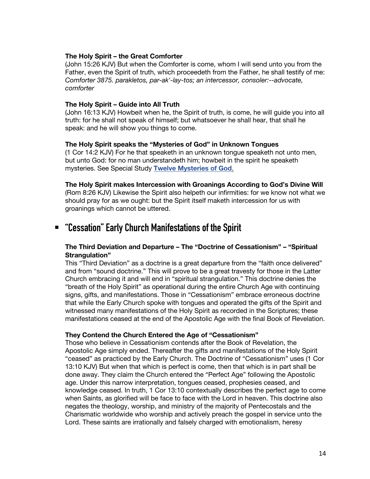#### **The Holy Spirit – the Great Comforter**

(John 15:26 KJV) But when the Comforter is come, whom I will send unto you from the Father, even the Spirit of truth, which proceedeth from the Father, he shall testify of me: *Comforter 3875. parakletos, par-ak'-lay-tos; an intercessor, consoler:--advocate, comforter*

#### **The Holy Spirit – Guide into All Truth**

(John 16:13 KJV) Howbeit when he, the Spirit of truth, is come, he will guide you into all truth: for he shall not speak of himself; but whatsoever he shall hear, that shall he speak: and he will show you things to come.

#### **The Holy Spirit speaks the "Mysteries of God" in Unknown Tongues**

(1 Cor 14:2 KJV) For he that speaketh in an unknown tongue speaketh not unto men, but unto God: for no man understandeth him; howbeit in the spirit he speaketh mysteries. See Special Study **[Twelve Mysteries of God](https://graceassemblysandiego.info/wp-content/uploads/TwelveMysteriesofGod.pdf)**.

#### **The Holy Spirit makes Intercession with Groanings According to God's Divine Will**

(Rom 8:26 KJV) Likewise the Spirit also helpeth our infirmities: for we know not what we should pray for as we ought: but the Spirit itself maketh intercession for us with groanings which cannot be uttered.

# § **"Cessation" Early Church Manifestations of the Spirit**

#### **The Third Deviation and Departure – The "Doctrine of Cessationism" – "Spiritual Strangulation"**

This "Third Deviation" as a doctrine is a great departure from the "faith once delivered" and from "sound doctrine." This will prove to be a great travesty for those in the Latter Church embracing it and will end in "spiritual strangulation." This doctrine denies the "breath of the Holy Spirit" as operational during the entire Church Age with continuing signs, gifts, and manifestations. Those in "Cessationism" embrace erroneous doctrine that while the Early Church spoke with tongues and operated the gifts of the Spirit and witnessed many manifestations of the Holy Spirit as recorded in the Scriptures; these manifestations ceased at the end of the Apostolic Age with the final Book of Revelation.

#### **They Contend the Church Entered the Age of "Cessationism"**

Those who believe in Cessationism contends after the Book of Revelation, the Apostolic Age simply ended. Thereafter the gifts and manifestations of the Holy Spirit "ceased" as practiced by the Early Church. The Doctrine of "Cessationism" uses (1 Cor 13:10 KJV) But when that which is perfect is come, then that which is in part shall be done away. They claim the Church entered the "Perfect Age" following the Apostolic age. Under this narrow interpretation, tongues ceased, prophesies ceased, and knowledge ceased. In truth, 1 Cor 13:10 contextually describes the perfect age to come when Saints, as glorified will be face to face with the Lord in heaven. This doctrine also negates the theology, worship, and ministry of the majority of Pentecostals and the Charismatic worldwide who worship and actively preach the gospel in service unto the Lord. These saints are irrationally and falsely charged with emotionalism, heresy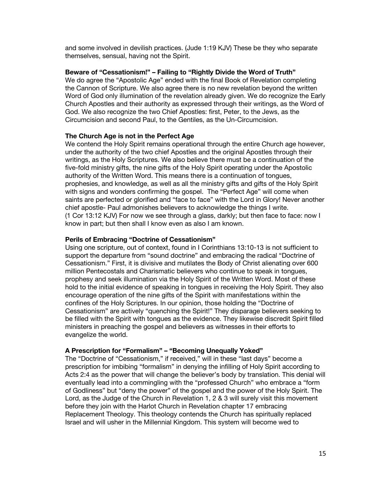and some involved in devilish practices. (Jude 1:19 KJV) These be they who separate themselves, sensual, having not the Spirit.

#### **Beware of "Cessationism!" – Failing to "Rightly Divide the Word of Truth"**

We do agree the "Apostolic Age" ended with the final Book of Revelation completing the Cannon of Scripture. We also agree there is no new revelation beyond the written Word of God only illumination of the revelation already given. We do recognize the Early Church Apostles and their authority as expressed through their writings, as the Word of God. We also recognize the two Chief Apostles: first, Peter, to the Jews, as the Circumcision and second Paul, to the Gentiles, as the Un-Circumcision.

#### **The Church Age is not in the Perfect Age**

We contend the Holy Spirit remains operational through the entire Church age however, under the authority of the two chief Apostles and the original Apostles through their writings, as the Holy Scriptures. We also believe there must be a continuation of the five-fold ministry gifts, the nine gifts of the Holy Spirit operating under the Apostolic authority of the Written Word. This means there is a continuation of tongues, prophesies, and knowledge, as well as all the ministry gifts and gifts of the Holy Spirit with signs and wonders confirming the gospel. The "Perfect Age" will come when saints are perfected or glorified and "face to face" with the Lord in Glory! Never another chief apostle- Paul admonishes believers to acknowledge the things I write. (1 Cor 13:12 KJV) For now we see through a glass, darkly; but then face to face: now I know in part; but then shall I know even as also I am known.

#### **Perils of Embracing "Doctrine of Cessationism"**

Using one scripture, out of context, found in I Corinthians 13:10-13 is not sufficient to support the departure from "sound doctrine" and embracing the radical "Doctrine of Cessationism." First, it is divisive and mutilates the Body of Christ alienating over 600 million Pentecostals and Charismatic believers who continue to speak in tongues, prophesy and seek illumination via the Holy Spirit of the Written Word. Most of these hold to the initial evidence of speaking in tongues in receiving the Holy Spirit. They also encourage operation of the nine gifts of the Spirit with manifestations within the confines of the Holy Scriptures. In our opinion, those holding the "Doctrine of Cessationism" are actively "quenching the Spirit!" They disparage believers seeking to be filled with the Spirit with tongues as the evidence. They likewise discredit Spirit filled ministers in preaching the gospel and believers as witnesses in their efforts to evangelize the world.

#### **A Prescription for "Formalism" – "Becoming Unequally Yoked"**

The "Doctrine of "Cessationism," if received," will in these "last days" become a prescription for imbibing "formalism" in denying the infilling of Holy Spirit according to Acts 2:4 as the power that will change the believer's body by translation. This denial will eventually lead into a commingling with the "professed Church" who embrace a "form of Godliness" but "deny the power" of the gospel and the power of the Holy Spirit. The Lord, as the Judge of the Church in Revelation 1, 2 & 3 will surely visit this movement before they join with the Harlot Church in Revelation chapter 17 embracing Replacement Theology. This theology contends the Church has spiritually replaced Israel and will usher in the Millennial Kingdom. This system will become wed to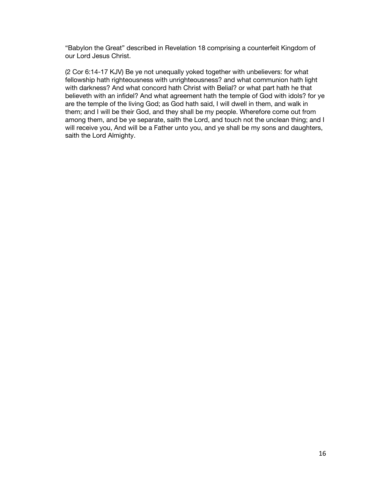"Babylon the Great" described in Revelation 18 comprising a counterfeit Kingdom of our Lord Jesus Christ.

(2 Cor 6:14-17 KJV) Be ye not unequally yoked together with unbelievers: for what fellowship hath righteousness with unrighteousness? and what communion hath light with darkness? And what concord hath Christ with Belial? or what part hath he that believeth with an infidel? And what agreement hath the temple of God with idols? for ye are the temple of the living God; as God hath said, I will dwell in them, and walk in them; and I will be their God, and they shall be my people. Wherefore come out from among them, and be ye separate, saith the Lord, and touch not the unclean thing; and I will receive you, And will be a Father unto you, and ye shall be my sons and daughters, saith the Lord Almighty.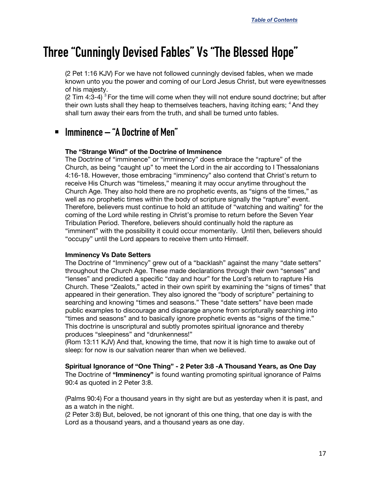# <span id="page-16-0"></span>**Three "Cunningly Devised Fables" Vs "The Blessed Hope"**

(2 Pet 1:16 KJV) For we have not followed cunningly devised fables, when we made known unto you the power and coming of our Lord Jesus Christ, but were eyewitnesses of his majesty.

(2 Tim 4:3-4)  $3$  For the time will come when they will not endure sound doctrine; but after their own lusts shall they heap to themselves teachers, having itching ears; <sup>4</sup> And they shall turn away their ears from the truth, and shall be turned unto fables.

## § **Imminence – "A Doctrine of Men"**

#### **The "Strange Wind" of the Doctrine of Imminence**

The Doctrine of "imminence" or "imminency" does embrace the "rapture" of the Church, as being "caught up" to meet the Lord in the air according to I Thessalonians 4:16-18. However, those embracing "imminency" also contend that Christ's return to receive His Church was "timeless," meaning it may occur anytime throughout the Church Age. They also hold there are no prophetic events, as "signs of the times," as well as no prophetic times within the body of scripture signally the "rapture" event. Therefore, believers must continue to hold an attitude of "watching and waiting" for the coming of the Lord while resting in Christ's promise to return before the Seven Year Tribulation Period. Therefore, believers should continually hold the rapture as "imminent" with the possibility it could occur momentarily. Until then, believers should "occupy" until the Lord appears to receive them unto Himself.

#### **Imminency Vs Date Setters**

The Doctrine of "Imminency" grew out of a "backlash" against the many "date setters" throughout the Church Age. These made declarations through their own "senses" and "lenses" and predicted a specific "day and hour" for the Lord's return to rapture His Church. These "Zealots," acted in their own spirit by examining the "signs of times" that appeared in their generation. They also ignored the "body of scripture" pertaining to searching and knowing "times and seasons." These "date setters" have been made public examples to discourage and disparage anyone from scripturally searching into "times and seasons" and to basically ignore prophetic events as "signs of the time." This doctrine is unscriptural and subtly promotes spiritual ignorance and thereby produces "sleepiness" and "drunkenness!"

(Rom 13:11 KJV) And that, knowing the time, that now it is high time to awake out of sleep: for now is our salvation nearer than when we believed.

**Spiritual Ignorance of "One Thing" - 2 Peter 3:8 -A Thousand Years, as One Day** The Doctrine of **"Imminency"** is found wanting promoting spiritual ignorance of Palms 90:4 as quoted in 2 Peter 3:8.

(Palms 90:4) For a thousand years in thy sight are but as yesterday when it is past, and as a watch in the night.

(2 Peter 3:8) But, beloved, be not ignorant of this one thing, that one day is with the Lord as a thousand years, and a thousand years as one day.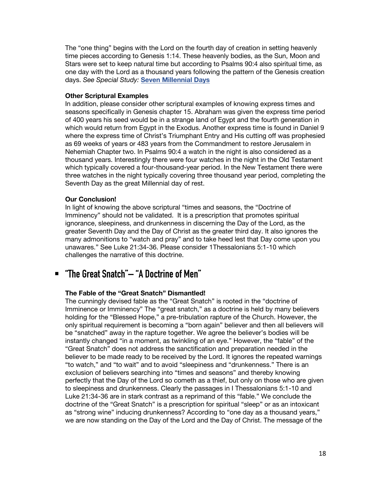The "one thing" begins with the Lord on the fourth day of creation in setting heavenly time pieces according to Genesis 1:14. These heavenly bodies, as the Sun, Moon and Stars were set to keep natural time but according to Psalms 90:4 also spiritual time, as one day with the Lord as a thousand years following the pattern of the Genesis creation days. *See Special Study:* **[Seven Millennial Days](https://graceassemblysandiego.info/wp-content/uploads/SevenMillennialDaysopt.pdf)**

#### **Other Scriptural Examples**

In addition, please consider other scriptural examples of knowing express times and seasons specifically in Genesis chapter 15. Abraham was given the express time period of 400 years his seed would be in a strange land of Egypt and the fourth generation in which would return from Egypt in the Exodus. Another express time is found in Daniel 9 where the express time of Christ's Triumphant Entry and His cutting off was prophesied as 69 weeks of years or 483 years from the Commandment to restore Jerusalem in Nehemiah Chapter two. In Psalms 90:4 a watch in the night is also considered as a thousand years. Interestingly there were four watches in the night in the Old Testament which typically covered a four-thousand-year period. In the New Testament there were three watches in the night typically covering three thousand year period, completing the Seventh Day as the great Millennial day of rest.

#### **Our Conclusion!**

In light of knowing the above scriptural "times and seasons, the "Doctrine of Imminency" should not be validated. It is a prescription that promotes spiritual ignorance, sleepiness, and drunkenness in discerning the Day of the Lord, as the greater Seventh Day and the Day of Christ as the greater third day. It also ignores the many admonitions to "watch and pray" and to take heed lest that Day come upon you unawares." See Luke 21:34-36. Please consider 1Thessalonians 5:1-10 which challenges the narrative of this doctrine.

# § **"The Great Snatch"– "A Doctrine of Men"**

#### **The Fable of the "Great Snatch" Dismantled!**

The cunningly devised fable as the "Great Snatch" is rooted in the "doctrine of Imminence or Imminency" The "great snatch," as a doctrine is held by many believers holding for the "Blessed Hope," a pre-tribulation rapture of the Church. However, the only spiritual requirement is becoming a "born again" believer and then all believers will be "snatched" away in the rapture together. We agree the believer's bodies will be instantly changed "in a moment, as twinkling of an eye." However, the "fable" of the "Great Snatch" does not address the sanctification and preparation needed in the believer to be made ready to be received by the Lord. It ignores the repeated warnings "to watch," and "to wait" and to avoid "sleepiness and "drunkenness." There is an exclusion of believers searching into "times and seasons" and thereby knowing perfectly that the Day of the Lord so cometh as a thief, but only on those who are given to sleepiness and drunkenness. Clearly the passages in I Thessalonians 5:1-10 and Luke 21:34-36 are in stark contrast as a reprimand of this "fable." We conclude the doctrine of the "Great Snatch" is a prescription for spiritual "sleep" or as an intoxicant as "strong wine" inducing drunkenness? According to "one day as a thousand years," we are now standing on the Day of the Lord and the Day of Christ. The message of the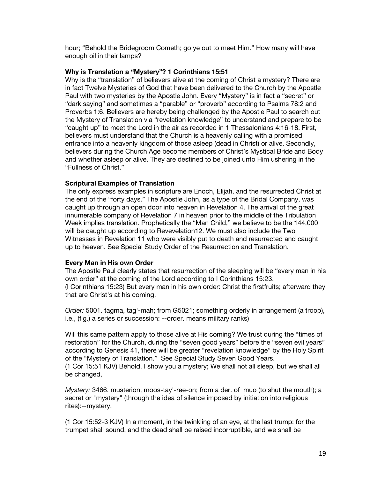hour; "Behold the Bridegroom Cometh; go ye out to meet Him." How many will have enough oil in their lamps?

#### **Why is Translation a "Mystery"? 1 Corinthians 15:51**

Why is the "translation" of believers alive at the coming of Christ a mystery? There are in fact Twelve Mysteries of God that have been delivered to the Church by the Apostle Paul with two mysteries by the Apostle John. Every "Mystery" is in fact a "secret" or "dark saying" and sometimes a "parable" or "proverb" according to Psalms 78:2 and Proverbs 1:6. Believers are hereby being challenged by the Apostle Paul to search out the Mystery of Translation via "revelation knowledge" to understand and prepare to be "caught up" to meet the Lord in the air as recorded in 1 Thessalonians 4:16-18. First, believers must understand that the Church is a heavenly calling with a promised entrance into a heavenly kingdom of those asleep (dead in Christ) or alive. Secondly, believers during the Church Age become members of Christ's Mystical Bride and Body and whether asleep or alive. They are destined to be joined unto Him ushering in the "Fullness of Christ."

#### **Scriptural Examples of Translation**

The only express examples in scripture are Enoch, Elijah, and the resurrected Christ at the end of the "forty days." The Apostle John, as a type of the Bridal Company, was caught up through an open door into heaven in Revelation 4. The arrival of the great innumerable company of Revelation 7 in heaven prior to the middle of the Tribulation Week implies translation. Prophetically the "Man Child," we believe to be the 144,000 will be caught up according to Revevelation12. We must also include the Two Witnesses in Revelation 11 who were visibly put to death and resurrected and caught up to heaven. See Special Study Order of the Resurrection and Translation.

#### **Every Man in His own Order**

The Apostle Paul clearly states that resurrection of the sleeping will be "every man in his own order" at the coming of the Lord according to I Corinthians 15:23. (I Corinthians 15:23) But every man in his own order: Christ the firstfruits; afterward they that are Christ's at his coming.

*Order:* 5001. tagma, tag'-mah; from G5021; something orderly in arrangement (a troop), i.e., (fig.) a series or succession: --order. means military ranks)

Will this same pattern apply to those alive at His coming? We trust during the "times of restoration" for the Church, during the "seven good years" before the "seven evil years" according to Genesis 41, there will be greater "revelation knowledge" by the Holy Spirit of the "Mystery of Translation." See Special Study Seven Good Years. (1 Cor 15:51 KJV) Behold, I show you a mystery; We shall not all sleep, but we shall all be changed,

*Mystery:* 3466. musterion, moos-tay'-ree-on; from a der. of muo (to shut the mouth); a secret or "mystery" (through the idea of silence imposed by initiation into religious rites):--mystery.

(1 Cor 15:52-3 KJV) In a moment, in the twinkling of an eye, at the last trump: for the trumpet shall sound, and the dead shall be raised incorruptible, and we shall be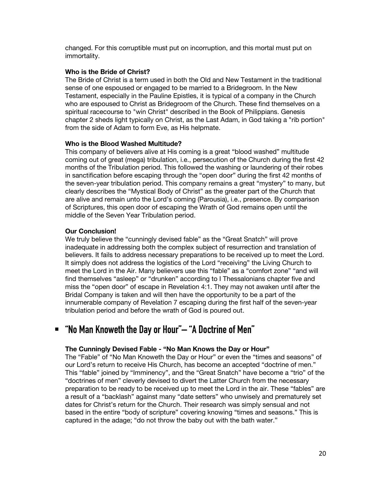changed. For this corruptible must put on incorruption, and this mortal must put on immortality.

#### **Who is the Bride of Christ?**

The Bride of Christ is a term used in both the Old and New Testament in the traditional sense of one espoused or engaged to be married to a Bridegroom. In the New Testament, especially in the Pauline Epistles, it is typical of a company in the Church who are espoused to Christ as Bridegroom of the Church. These find themselves on a spiritual racecourse to "win Christ" described in the Book of Philippians. Genesis chapter 2 sheds light typically on Christ, as the Last Adam, in God taking a "rib portion" from the side of Adam to form Eve, as His helpmate.

#### **Who is the Blood Washed Multitude?**

This company of believers alive at His coming is a great "blood washed" multitude coming out of great (mega) tribulation, i.e., persecution of the Church during the first 42 months of the Tribulation period. This followed the washing or laundering of their robes in sanctification before escaping through the "open door" during the first 42 months of the seven-year tribulation period. This company remains a great "mystery" to many, but clearly describes the "Mystical Body of Christ" as the greater part of the Church that are alive and remain unto the Lord's coming (Parousia), i.e., presence. By comparison of Scriptures, this open door of escaping the Wrath of God remains open until the middle of the Seven Year Tribulation period.

#### **Our Conclusion!**

We truly believe the "cunningly devised fable" as the "Great Snatch" will prove inadequate in addressing both the complex subject of resurrection and translation of believers. It fails to address necessary preparations to be received up to meet the Lord. It simply does not address the logistics of the Lord "receiving" the Living Church to meet the Lord in the Air. Many believers use this "fable" as a "comfort zone" "and will find themselves "asleep" or "drunken" according to I Thessalonians chapter five and miss the "open door" of escape in Revelation 4:1. They may not awaken until after the Bridal Company is taken and will then have the opportunity to be a part of the innumerable company of Revelation 7 escaping during the first half of the seven-year tribulation period and before the wrath of God is poured out.

## § **"No Man Knoweth the Day or Hour"– "A Doctrine of Men"**

#### **The Cunningly Devised Fable - "No Man Knows the Day or Hour"**

The "Fable" of "No Man Knoweth the Day or Hour" or even the "times and seasons" of our Lord's return to receive His Church, has become an accepted "doctrine of men." This "fable" joined by "Imminency", and the "Great Snatch" have become a "trio" of the "doctrines of men" cleverly devised to divert the Latter Church from the necessary preparation to be ready to be received up to meet the Lord in the air. These "fables" are a result of a "backlash" against many "date setters" who unwisely and prematurely set dates for Christ's return for the Church. Their research was simply sensual and not based in the entire "body of scripture" covering knowing "times and seasons." This is captured in the adage; "do not throw the baby out with the bath water."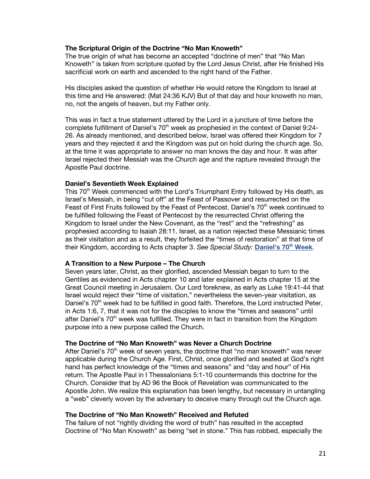#### **The Scriptural Origin of the Doctrine "No Man Knoweth"**

The true origin of what has become an accepted "doctrine of men" that "No Man Knoweth" is taken from scripture quoted by the Lord Jesus Christ, after He finished His sacrificial work on earth and ascended to the right hand of the Father.

His disciples asked the question of whether He would retore the Kingdom to Israel at this time and He answered: (Mat 24:36 KJV) But of that day and hour knoweth no man, no, not the angels of heaven, but my Father only.

This was in fact a true statement uttered by the Lord in a juncture of time before the complete fulfillment of Daniel's 70<sup>th</sup> week as prophesied in the context of Daniel 9:24-26. As already mentioned, and described below, Israel was offered their Kingdom for 7 years and they rejected it and the Kingdom was put on hold during the church age. So, at the time it was appropriate to answer no man knows the day and hour. It was after Israel rejected their Messiah was the Church age and the rapture revealed through the Apostle Paul doctrine.

#### **Daniel's Seventieth Week Explained**

This  $70<sup>th</sup>$  Week commenced with the Lord's Triumphant Entry followed by His death, as Israel's Messiah, in being "cut off" at the Feast of Passover and resurrected on the Feast of First Fruits followed by the Feast of Pentecost. Daniel's 70<sup>th</sup> week continued to be fulfilled following the Feast of Pentecost by the resurrected Christ offering the Kingdom to Israel under the New Covenant, as the "rest" and the "refreshing" as prophesied according to Isaiah 28:11. Israel, as a nation rejected these Messianic times as their visitation and as a result, they forfeited the "times of restoration" at that time of their Kingdom, according to Acts chapter 3. *See Special Study:* **[Daniel's 70th](https://graceassemblysandiego.info/wp-content/uploads/Daniels70thWeekopt.pdf) Week**.

#### **A Transition to a New Purpose – The Church**

Seven years later, Christ, as their glorified, ascended Messiah began to turn to the Gentiles as evidenced in Acts chapter 10 and later explained in Acts chapter 15 at the Great Council meeting in Jerusalem. Our Lord foreknew, as early as Luke 19:41-44 that Israel would reject their "time of visitation," nevertheless the seven-year visitation, as Daniel's 70<sup>th</sup> week had to be fulfilled in good faith. Therefore, the Lord instructed Peter, in Acts 1:6, 7, that it was not for the disciples to know the "times and seasons" until after Daniel's 70<sup>th</sup> week was fulfilled. They were in fact in transition from the Kingdom purpose into a new purpose called the Church.

#### **The Doctrine of "No Man Knoweth" was Never a Church Doctrine**

After Daniel's  $70<sup>th</sup>$  week of seven years, the doctrine that "no man knoweth" was never applicable during the Church Age. First, Christ, once glorified and seated at God's right hand has perfect knowledge of the "times and seasons" and "day and hour" of His return. The Apostle Paul in I Thessalonians 5:1-10 countermands this doctrine for the Church. Consider that by AD 96 the Book of Revelation was communicated to the Apostle John. We realize this explanation has been lengthy, but necessary in untangling a "web" cleverly woven by the adversary to deceive many through out the Church age.

#### **The Doctrine of "No Man Knoweth" Received and Refuted**

The failure of not "rightly dividing the word of truth" has resulted in the accepted Doctrine of "No Man Knoweth" as being "set in stone." This has robbed, especially the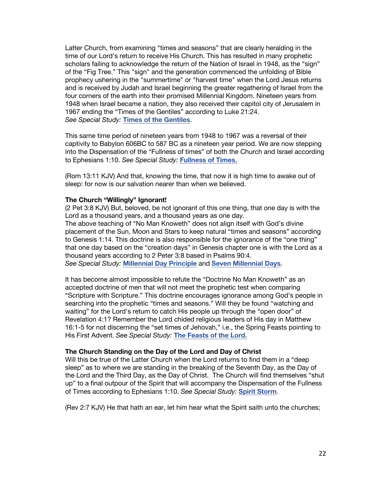Latter Church, from examining "times and seasons" that are clearly heralding in the time of our Lord's return to receive His Church. This has resulted in many prophetic scholars failing to acknowledge the return of the Nation of Israel in 1948, as the "sign" of the "Fig Tree." This "sign" and the generation commenced the unfolding of Bible prophecy ushering in the "summertime" or "harvest time" when the Lord Jesus returns and is received by Judah and Israel beginning the greater regathering of Israel from the four corners of the earth into their promised Millennial Kingdom. Nineteen years from 1948 when Israel became a nation, they also received their capitol city of Jerusalem in 1967 ending the "Times of the Gentiles" according to Luke 21:24. *See Special Study:* **Times of [the Gentiles](https://graceassemblysandiego.info/wp-content/uploads/TimesoftheGentilesopt.pdf)**.

This same time period of nineteen years from 1948 to 1967 was a reversal of their captivity to Babylon 606BC to 587 BC as a nineteen year period. We are now stepping into the Dispensation of the "Fullness of times" of both the Church and Israel according to Ephesians 1:10. *See Special Study:* **[Fullness of](https://graceassemblysandiego.info/wp-content/uploads/FullnessofTimesopt.pdf) Times.**

(Rom 13:11 KJV) And that, knowing the time, that now it is high time to awake out of sleep: for now is our salvation nearer than when we believed.

#### **The Church "Willingly" Ignorant!**

(2 Pet 3:8 KJV) But, beloved, be not ignorant of this one thing, that one day is with the Lord as a thousand years, and a thousand years as one day.

The above teaching of "No Man Knoweth" does not align itself with God's divine placement of the Sun, Moon and Stars to keep natural "times and seasons" according to Genesis 1:14. This doctrine is also responsible for the ignorance of the "one thing" that one day based on the "creation days" in Genesis chapter one is with the Lord as a thousand years according to 2 Peter 3:8 based in Psalms 90:4.

*See Special Study:* **[Millennial](https://graceassemblysandiego.info/wp-content/uploads/MillennialDayPrincipleopt.pdf) Day Principle** and **[Seven Millennial](https://graceassemblysandiego.info/wp-content/uploads/SevenMillennialDaysopt.pdf) Days**.

It has become almost impossible to refute the "Doctrine No Man Knoweth" as an accepted doctrine of men that will not meet the prophetic test when comparing "Scripture with Scripture." This doctrine encourages ignorance among God's people in searching into the prophetic "times and seasons." Will they be found "watching and waiting" for the Lord's return to catch His people up through the "open door" of Revelation 4:1? Remember the Lord chided religious leaders of His day in Matthew 16:1-5 for not discerning the "set times of Jehovah," i.e., the Spring Feasts pointing to His First Advent. *See Special Study:* **[The Feasts of](https://graceassemblysandiego.info/wp-content/uploads/FeastsoftheLordopt.pdf) the Lord.**

#### **The Church Standing on the Day of the Lord and Day of Christ**

Will this be true of the Latter Church when the Lord returns to find them in a "deep sleep" as to where we are standing in the breaking of the Seventh Day, as the Day of the Lord and the Third Day, as the Day of Christ. The Church will find themselves "shut up" to a final outpour of the Spirit that will accompany the Dispensation of the Fullness of Times according to Ephesians 1:10. *See Special Study:* **Spirit [Storm](https://graceassemblysandiego.info/wp-content/uploads/SpiritStorm.pdf)**.

(Rev 2:7 KJV) He that hath an ear, let him hear what the Spirit saith unto the churches;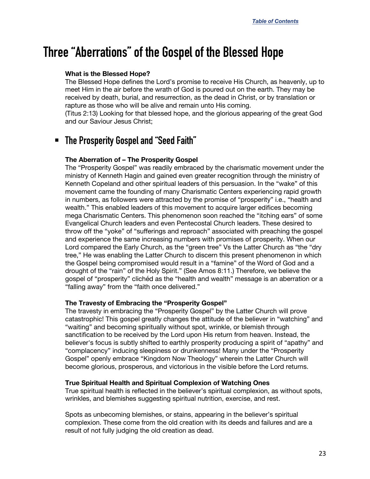# <span id="page-22-0"></span>**Three "Aberrations" of the Gospel of the Blessed Hope**

#### **What is the Blessed Hope?**

The Blessed Hope defines the Lord's promise to receive His Church, as heavenly, up to meet Him in the air before the wrath of God is poured out on the earth. They may be received by death, burial, and resurrection, as the dead in Christ, or by translation or rapture as those who will be alive and remain unto His coming.

(Titus 2:13) Looking for that blessed hope, and the glorious appearing of the great God and our Saviour Jesus Christ;

# § **The Prosperity Gospel and "Seed Faith"**

#### **The Aberration of – The Prosperity Gospel**

The "Prosperity Gospel" was readily embraced by the charismatic movement under the ministry of Kenneth Hagin and gained even greater recognition through the ministry of Kenneth Copeland and other spiritual leaders of this persuasion. In the "wake" of this movement came the founding of many Charismatic Centers experiencing rapid growth in numbers, as followers were attracted by the promise of "prosperity" i.e., "health and wealth." This enabled leaders of this movement to acquire larger edifices becoming mega Charismatic Centers. This phenomenon soon reached the "itching ears" of some Evangelical Church leaders and even Pentecostal Church leaders. These desired to throw off the "yoke" of "sufferings and reproach" associated with preaching the gospel and experience the same increasing numbers with promises of prosperity. When our Lord compared the Early Church, as the "green tree" Vs the Latter Church as "the "dry tree," He was enabling the Latter Church to discern this present phenomenon in which the Gospel being compromised would result in a "famine" of the Word of God and a drought of the "rain" of the Holy Spirit." (See Amos 8:11.) Therefore, we believe the gospel of "prosperity" clichéd as the "health and wealth" message is an aberration or a "falling away" from the "faith once delivered."

#### **The Travesty of Embracing the "Prosperity Gospel"**

The travesty in embracing the "Prosperity Gospel" by the Latter Church will prove catastrophic! This gospel greatly changes the attitude of the believer in "watching" and "waiting" and becoming spiritually without spot, wrinkle, or blemish through sanctification to be received by the Lord upon His return from heaven. Instead, the believer's focus is subtly shifted to earthly prosperity producing a spirit of "apathy" and "complacency" inducing sleepiness or drunkenness! Many under the "Prosperity Gospel" openly embrace "Kingdom Now Theology" wherein the Latter Church will become glorious, prosperous, and victorious in the visible before the Lord returns.

#### **True Spiritual Health and Spiritual Complexion of Watching Ones**

True spiritual health is reflected in the believer's spiritual complexion, as without spots, wrinkles, and blemishes suggesting spiritual nutrition, exercise, and rest.

Spots as unbecoming blemishes, or stains, appearing in the believer's spiritual complexion. These come from the old creation with its deeds and failures and are a result of not fully judging the old creation as dead.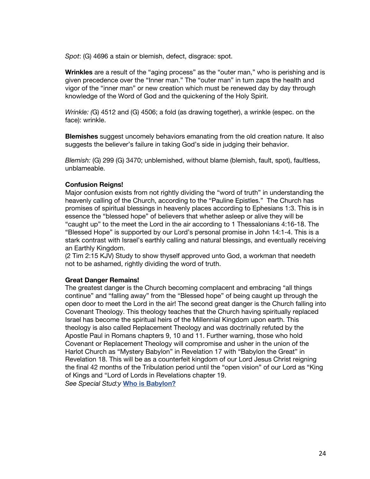*Spot*: (G) 4696 a stain or blemish, defect, disgrace: spot.

**Wrinkles** are a result of the "aging process" as the "outer man," who is perishing and is given precedence over the "Inner man." The "outer man" in turn zaps the health and vigor of the "inner man" or new creation which must be renewed day by day through knowledge of the Word of God and the quickening of the Holy Spirit.

*Wrinkle: (*G) 4512 and (G) 4506; a fold (as drawing together), a wrinkle (espec. on the face): wrinkle.

**Blemishes** suggest uncomely behaviors emanating from the old creation nature. It also suggests the believer's failure in taking God's side in judging their behavior.

*Blemish:* (G) 299 (G) 3470; unblemished, without blame (blemish, fault, spot), faultless, unblameable.

#### **Confusion Reigns!**

Major confusion exists from not rightly dividing the "word of truth" in understanding the heavenly calling of the Church, according to the "Pauline Epistles." The Church has promises of spiritual blessings in heavenly places according to Ephesians 1:3. This is in essence the "blessed hope" of believers that whether asleep or alive they will be "caught up" to the meet the Lord in the air according to 1 Thessalonians 4:16-18. The "Blessed Hope" is supported by our Lord's personal promise in John 14:1-4. This is a stark contrast with Israel's earthly calling and natural blessings, and eventually receiving an Earthly Kingdom.

(2 Tim 2:15 KJV) Study to show thyself approved unto God, a workman that needeth not to be ashamed, rightly dividing the word of truth.

#### **Great Danger Remains!**

The greatest danger is the Church becoming complacent and embracing "all things continue" and "falling away" from the "Blessed hope" of being caught up through the open door to meet the Lord in the air! The second great danger is the Church falling into Covenant Theology. This theology teaches that the Church having spiritually replaced Israel has become the spiritual heirs of the Millennial Kingdom upon earth. This theology is also called Replacement Theology and was doctrinally refuted by the Apostle Paul in Romans chapters 9, 10 and 11. Further warning, those who hold Covenant or Replacement Theology will compromise and usher in the union of the Harlot Church as "Mystery Babylon" in Revelation 17 with "Babylon the Great" in Revelation 18. This will be as a counterfeit kingdom of our Lord Jesus Christ reigning the final 42 months of the Tribulation period until the "open vision" of our Lord as "King of Kings and "Lord of Lords in Revelations chapter 19.

*See Special Stud:y* **[Who is Babylon?](https://graceassemblysandiego.info/wp-content/uploads/BabylonianProphecy.pdf)**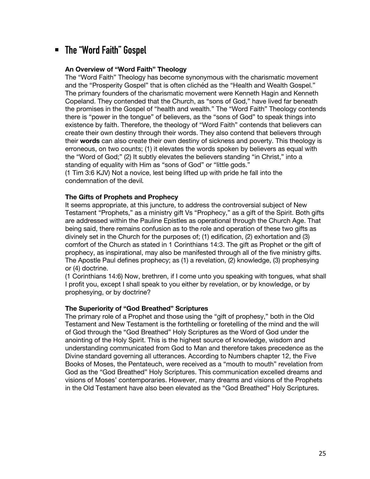# § **The "Word Faith" Gospel**

#### **An Overview of "Word Faith" Theology**

The "Word Faith" Theology has become synonymous with the charismatic movement and the "Prosperity Gospel" that is often clichéd as the "Health and Wealth Gospel." The primary founders of the charismatic movement were Kenneth Hagin and Kenneth Copeland. They contended that the Church, as "sons of God," have lived far beneath the promises in the Gospel of "health and wealth." The "Word Faith" Theology contends there is "power in the tongue" of believers, as the "sons of God" to speak things into existence by faith. Therefore, the theology of "Word Faith" contends that believers can create their own destiny through their words. They also contend that believers through their **words** can also create their own destiny of sickness and poverty. This theology is erroneous, on two counts; (1) it elevates the words spoken by believers as equal with the "Word of God;" (2) It subtly elevates the believers standing "in Christ," into a standing of equality with Him as "sons of God" or "little gods."

(1 Tim 3:6 KJV) Not a novice, lest being lifted up with pride he fall into the condemnation of the devil*.*

#### **The Gifts of Prophets and Prophecy**

It seems appropriate, at this juncture, to address the controversial subject of New Testament "Prophets," as a ministry gift Vs "Prophecy," as a gift of the Spirit. Both gifts are addressed within the Pauline Epistles as operational through the Church Age. That being said, there remains confusion as to the role and operation of these two gifts as divinely set in the Church for the purposes of; (1) edification, (2) exhortation and (3) comfort of the Church as stated in 1 Corinthians 14:3. The gift as Prophet or the gift of prophecy, as inspirational, may also be manifested through all of the five ministry gifts. The Apostle Paul defines prophecy; as (1) a revelation, (2) knowledge, (3) prophesying or (4) doctrine.

(1 Corinthians 14:6) Now, brethren, if I come unto you speaking with tongues, what shall I profit you, except I shall speak to you either by revelation, or by knowledge, or by prophesying, or by doctrine?

#### **The Superiority of "God Breathed" Scriptures**

The primary role of a Prophet and those using the "gift of prophesy," both in the Old Testament and New Testament is the forthtelling or foretelling of the mind and the will of God through the "God Breathed" Holy Scriptures as the Word of God under the anointing of the Holy Spirit. This is the highest source of knowledge, wisdom and understanding communicated from God to Man and therefore takes precedence as the Divine standard governing all utterances. According to Numbers chapter 12, the Five Books of Moses, the Pentateuch, were received as a "mouth to mouth" revelation from God as the "God Breathed" Holy Scriptures. This communication excelled dreams and visions of Moses' contemporaries. However, many dreams and visions of the Prophets in the Old Testament have also been elevated as the "God Breathed" Holy Scriptures.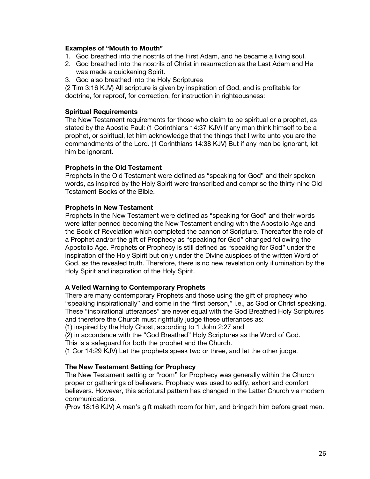#### **Examples of "Mouth to Mouth"**

- 1. God breathed into the nostrils of the First Adam, and he became a living soul.
- 2. God breathed into the nostrils of Christ in resurrection as the Last Adam and He was made a quickening Spirit.
- 3. God also breathed into the Holy Scriptures

(2 Tim 3:16 KJV) All scripture is given by inspiration of God, and is profitable for doctrine, for reproof, for correction, for instruction in righteousness:

#### **Spiritual Requirements**

The New Testament requirements for those who claim to be spiritual or a prophet, as stated by the Apostle Paul: (1 Corinthians 14:37 KJV) If any man think himself to be a prophet, or spiritual, let him acknowledge that the things that I write unto you are the commandments of the Lord. (1 Corinthians 14:38 KJV) But if any man be ignorant, let him be ignorant.

#### **Prophets in the Old Testament**

Prophets in the Old Testament were defined as "speaking for God" and their spoken words, as inspired by the Holy Spirit were transcribed and comprise the thirty-nine Old Testament Books of the Bible.

#### **Prophets in New Testament**

Prophets in the New Testament were defined as "speaking for God" and their words were latter penned becoming the New Testament ending with the Apostolic Age and the Book of Revelation which completed the cannon of Scripture. Thereafter the role of a Prophet and/or the gift of Prophecy as "speaking for God" changed following the Apostolic Age. Prophets or Prophecy is still defined as "speaking for God" under the inspiration of the Holy Spirit but only under the Divine auspices of the written Word of God, as the revealed truth. Therefore, there is no new revelation only illumination by the Holy Spirit and inspiration of the Holy Spirit.

#### **A Veiled Warning to Contemporary Prophets**

There are many contemporary Prophets and those using the gift of prophecy who "speaking inspirationally" and some in the "first person," i.e., as God or Christ speaking. These "inspirational utterances" are never equal with the God Breathed Holy Scriptures and therefore the Church must rightfully judge these utterances as:

(1) inspired by the Holy Ghost, according to 1 John 2:27 and

(2) in accordance with the "God Breathed" Holy Scriptures as the Word of God. This is a safeguard for both the prophet and the Church.

(1 Cor 14:29 KJV) Let the prophets speak two or three, and let the other judge.

#### **The New Testament Setting for Prophecy**

The New Testament setting or "room" for Prophecy was generally within the Church proper or gatherings of believers. Prophecy was used to edify, exhort and comfort believers. However, this scriptural pattern has changed in the Latter Church via modern communications.

(Prov 18:16 KJV) A man's gift maketh room for him, and bringeth him before great men.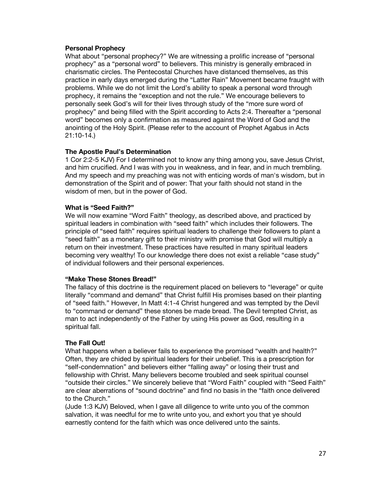#### **Personal Prophecy**

What about "personal prophecy?" We are witnessing a prolific increase of "personal prophecy" as a "personal word" to believers. This ministry is generally embraced in charismatic circles. The Pentecostal Churches have distanced themselves, as this practice in early days emerged during the "Latter Rain" Movement became fraught with problems. While we do not limit the Lord's ability to speak a personal word through prophecy, it remains the "exception and not the rule." We encourage believers to personally seek God's will for their lives through study of the "more sure word of prophecy" and being filled with the Spirit according to Acts 2:4. Thereafter a "personal word" becomes only a confirmation as measured against the Word of God and the anointing of the Holy Spirit. (Please refer to the account of Prophet Agabus in Acts 21:10-14.)

#### **The Apostle Paul's Determination**

1 Cor 2:2-5 KJV) For I determined not to know any thing among you, save Jesus Christ, and him crucified. And I was with you in weakness, and in fear, and in much trembling. And my speech and my preaching was not with enticing words of man's wisdom, but in demonstration of the Spirit and of power: That your faith should not stand in the wisdom of men, but in the power of God.

#### **What is "Seed Faith?"**

We will now examine "Word Faith" theology, as described above, and practiced by spiritual leaders in combination with "seed faith" which includes their followers. The principle of "seed faith" requires spiritual leaders to challenge their followers to plant a "seed faith" as a monetary gift to their ministry with promise that God will multiply a return on their investment. These practices have resulted in many spiritual leaders becoming very wealthy! To our knowledge there does not exist a reliable "case study" of individual followers and their personal experiences.

#### **"Make These Stones Bread!"**

The fallacy of this doctrine is the requirement placed on believers to "leverage" or quite literally "command and demand" that Christ fulfill His promises based on their planting of "seed faith." However, In Matt 4:1-4 Christ hungered and was tempted by the Devil to "command or demand" these stones be made bread. The Devil tempted Christ, as man to act independently of the Father by using His power as God, resulting in a spiritual fall.

#### **The Fall Out!**

What happens when a believer fails to experience the promised "wealth and health?" Often, they are chided by spiritual leaders for their unbelief. This is a prescription for "self-condemnation" and believers either "falling away" or losing their trust and fellowship with Christ. Many believers become troubled and seek spiritual counsel "outside their circles." We sincerely believe that "Word Faith" coupled with "Seed Faith" are clear aberrations of "sound doctrine" and find no basis in the "faith once delivered to the Church."

(Jude 1:3 KJV) Beloved, when I gave all diligence to write unto you of the common salvation, it was needful for me to write unto you, and exhort you that ye should earnestly contend for the faith which was once delivered unto the saints.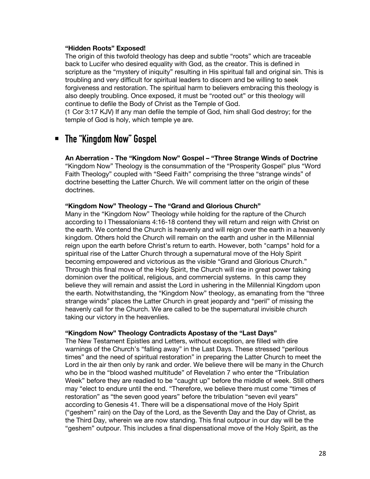#### **"Hidden Roots" Exposed!**

The origin of this twofold theology has deep and subtle "roots" which are traceable back to Lucifer who desired equality with God, as the creator. This is defined in scripture as the "mystery of iniquity" resulting in His spiritual fall and original sin. This is troubling and very difficult for spiritual leaders to discern and be willing to seek forgiveness and restoration. The spiritual harm to believers embracing this theology is also deeply troubling. Once exposed, it must be "rooted out" or this theology will continue to defile the Body of Christ as the Temple of God.

(1 Cor 3:17 KJV) If any man defile the temple of God, him shall God destroy; for the temple of God is holy, which temple ye are.

# § **The "Kingdom Now" Gospel**

**An Aberration - The "Kingdom Now" Gospel – "Three Strange Winds of Doctrine** "Kingdom Now" Theology is the consummation of the "Prosperity Gospel" plus "Word Faith Theology" coupled with "Seed Faith" comprising the three "strange winds" of doctrine besetting the Latter Church. We will comment latter on the origin of these doctrines.

#### **"Kingdom Now" Theology – The "Grand and Glorious Church"**

Many in the "Kingdom Now" Theology while holding for the rapture of the Church according to I Thessalonians 4:16-18 contend they will return and reign with Christ on the earth. We contend the Church is heavenly and will reign over the earth in a heavenly kingdom. Others hold the Church will remain on the earth and usher in the Millennial reign upon the earth before Christ's return to earth. However, both "camps" hold for a spiritual rise of the Latter Church through a supernatural move of the Holy Spirit becoming empowered and victorious as the visible "Grand and Glorious Church." Through this final move of the Holy Spirit, the Church will rise in great power taking dominion over the political, religious, and commercial systems. In this camp they believe they will remain and assist the Lord in ushering in the Millennial Kingdom upon the earth. Notwithstanding, the "Kingdom Now" theology, as emanating from the "three strange winds" places the Latter Church in great jeopardy and "peril" of missing the heavenly call for the Church. We are called to be the supernatural invisible church taking our victory in the heavenlies.

#### **"Kingdom Now" Theology Contradicts Apostasy of the "Last Days"**

The New Testament Epistles and Letters, without exception, are filled with dire warnings of the Church's "falling away" in the Last Days. These stressed "perilous times" and the need of spiritual restoration" in preparing the Latter Church to meet the Lord in the air then only by rank and order. We believe there will be many in the Church who be in the "blood washed multitude" of Revelation 7 who enter the "Tribulation Week" before they are readied to be "caught up" before the middle of week. Still others may "elect to endure until the end. "Therefore, we believe there must come "times of restoration" as "the seven good years" before the tribulation "seven evil years" according to Genesis 41. There will be a dispensational move of the Holy Spirit ("geshem" rain) on the Day of the Lord, as the Seventh Day and the Day of Christ, as the Third Day, wherein we are now standing. This final outpour in our day will be the "geshem" outpour. This includes a final dispensational move of the Holy Spirit, as the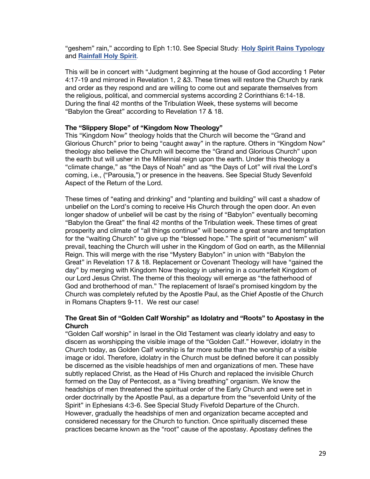"geshem" rain," according to Eph 1:10. See Special Study: **[Holy Spirit Rains Typology](https://graceassemblysandiego.info/wp-content/uploads/HolySpiritRainsTypology.pdf)** and **[Rainfall Holy Spirit](https://graceassemblysandiego.info/wp-content/uploads/RainfallHolySpiritopt.pdf)**.

This will be in concert with "Judgment beginning at the house of God according 1 Peter 4:17-19 and mirrored in Revelation 1, 2 &3. These times will restore the Church by rank and order as they respond and are willing to come out and separate themselves from the religious, political, and commercial systems according 2 Corinthians 6:14-18. During the final 42 months of the Tribulation Week, these systems will become "Babylon the Great" according to Revelation 17 & 18.

#### **The "Slippery Slope" of "Kingdom Now Theology"**

This "Kingdom Now" theology holds that the Church will become the "Grand and Glorious Church" prior to being "caught away" in the rapture. Others in "Kingdom Now" theology also believe the Church will become the "Grand and Glorious Church" upon the earth but will usher in the Millennial reign upon the earth. Under this theology a "climate change," as "the Days of Noah" and as "the Days of Lot" will rival the Lord's coming, i.e., ("Parousia,") or presence in the heavens. See Special Study Sevenfold Aspect of the Return of the Lord.

These times of "eating and drinking" and "planting and building" will cast a shadow of unbelief on the Lord's coming to receive His Church through the open door. An even longer shadow of unbelief will be cast by the rising of "Babylon" eventually becoming "Babylon the Great" the final 42 months of the Tribulation week. These times of great prosperity and climate of "all things continue" will become a great snare and temptation for the "waiting Church" to give up the "blessed hope." The spirit of "ecumenism" will prevail, teaching the Church will usher in the Kingdom of God on earth, as the Millennial Reign. This will merge with the rise "Mystery Babylon" in union with "Babylon the Great" in Revelation 17 & 18. Replacement or Covenant Theology will have "gained the day" by merging with Kingdom Now theology in ushering in a counterfeit Kingdom of our Lord Jesus Christ. The theme of this theology will emerge as "the fatherhood of God and brotherhood of man." The replacement of Israel's promised kingdom by the Church was completely refuted by the Apostle Paul, as the Chief Apostle of the Church in Romans Chapters 9-11. We rest our case!

#### **The Great Sin of "Golden Calf Worship" as Idolatry and "Roots" to Apostasy in the Church**

"Golden Calf worship" in Israel in the Old Testament was clearly idolatry and easy to discern as worshipping the visible image of the "Golden Calf." However, idolatry in the Church today, as Golden Calf worship is far more subtle than the worship of a visible image or idol. Therefore, idolatry in the Church must be defined before it can possibly be discerned as the visible headships of men and organizations of men. These have subtly replaced Christ, as the Head of His Church and replaced the invisible Church formed on the Day of Pentecost, as a "living breathing" organism. We know the headships of men threatened the spiritual order of the Early Church and were set in order doctrinally by the Apostle Paul, as a departure from the "sevenfold Unity of the Spirit" in Ephesians 4:3-6. See Special Study Fivefold Departure of the Church. However, gradually the headships of men and organization became accepted and considered necessary for the Church to function. Once spiritually discerned these practices became known as the "root" cause of the apostasy. Apostasy defines the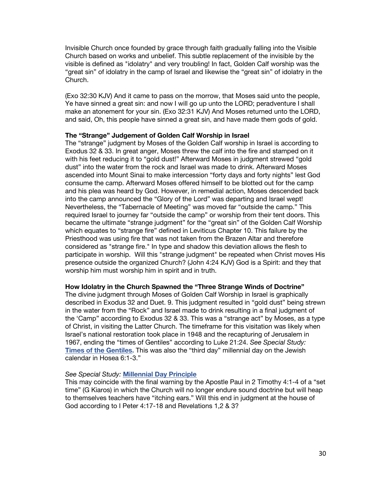Invisible Church once founded by grace through faith gradually falling into the Visible Church based on works and unbelief. This subtle replacement of the invisible by the visible is defined as "idolatry" and very troubling! In fact, Golden Calf worship was the "great sin" of idolatry in the camp of Israel and likewise the "great sin" of idolatry in the Church.

(Exo 32:30 KJV) And it came to pass on the morrow, that Moses said unto the people, Ye have sinned a great sin: and now I will go up unto the LORD; peradventure I shall make an atonement for your sin. (Exo 32:31 KJV) And Moses returned unto the LORD, and said, Oh, this people have sinned a great sin, and have made them gods of gold.

#### **The "Strange" Judgement of Golden Calf Worship in Israel**

The "strange" judgment by Moses of the Golden Calf worship in Israel is according to Exodus 32 & 33. In great anger, Moses threw the calf into the fire and stamped on it with his feet reducing it to "gold dust!" Afterward Moses in judgment strewed "gold dust" into the water from the rock and Israel was made to drink. Afterward Moses ascended into Mount Sinai to make intercession "forty days and forty nights" lest God consume the camp. Afterward Moses offered himself to be blotted out for the camp and his plea was heard by God. However, in remedial action, Moses descended back into the camp announced the "Glory of the Lord" was departing and Israel wept! Nevertheless, the "Tabernacle of Meeting" was moved far "outside the camp." This required Israel to journey far "outside the camp" or worship from their tent doors. This became the ultimate "strange judgment" for the "great sin" of the Golden Calf Worship which equates to "strange fire" defined in Leviticus Chapter 10. This failure by the Priesthood was using fire that was not taken from the Brazen Altar and therefore considered as "strange fire." In type and shadow this deviation allows the flesh to participate in worship. Will this "strange judgment" be repeated when Christ moves His presence outside the organized Church? (John 4:24 KJV) God is a Spirit: and they that worship him must worship him in spirit and in truth.

#### **How Idolatry in the Church Spawned the "Three Strange Winds of Doctrine"**

The divine judgment through Moses of Golden Calf Worship in Israel is graphically described in Exodus 32 and Duet. 9. This judgment resulted in "gold dust" being strewn in the water from the "Rock" and Israel made to drink resulting in a final judgment of the 'Camp" according to Exodus 32 & 33. This was a "strange act" by Moses, as a type of Christ, in visiting the Latter Church. The timeframe for this visitation was likely when Israel's national restoration took place in 1948 and the recapturing of Jerusalem in 1967, ending the "times of Gentiles" according to Luke 21:24. *See Special Study:* **Times of [the Gentiles.](https://graceassemblysandiego.info/wp-content/uploads/TimesoftheGentilesopt.pdf)** This was also the "third day" millennial day on the Jewish calendar in Hosea 6:1-3."

#### *See Special Study:* **[Millennial](https://graceassemblysandiego.info/wp-content/uploads/MillennialDayPrincipleopt.pdf) Day Principle**

This may coincide with the final warning by the Apostle Paul in 2 Timothy 4:1-4 of a "set time" (G Kiaros) in which the Church will no longer endure sound doctrine but will heap to themselves teachers have "itching ears." Will this end in judgment at the house of God according to I Peter 4:17-18 and Revelations 1,2 & 3?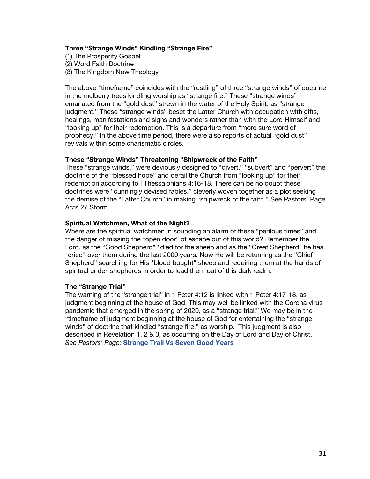#### **Three "Strange Winds" Kindling "Strange Fire"**

(1) The Prosperity Gospel (2) Word Faith Doctrine (3) The Kingdom Now Theology

The above "timeframe" coincides with the "rustling" of three "strange winds" of doctrine in the mulberry trees kindling worship as "strange fire." These "strange winds" emanated from the "gold dust" strewn in the water of the Holy Spirit, as "strange judgment." These "strange winds" beset the Latter Church with occupation with gifts, healings, manifestations and signs and wonders rather than with the Lord Himself and "looking up" for their redemption. This is a departure from "more sure word of prophecy." In the above time period, there were also reports of actual "gold dust" revivals within some charismatic circles.

#### **These "Strange Winds" Threatening "Shipwreck of the Faith"**

These "strange winds," were deviously designed to "divert," "subvert" and "pervert" the doctrine of the "blessed hope" and derail the Church from "looking up" for their redemption according to I Thessalonians 4:16-18. There can be no doubt these doctrines were "cunningly devised fables," cleverly woven together as a plot seeking the demise of the "Latter Church" in making "shipwreck of the faith." See Pastors' Page Acts 27 Storm.

#### **Spiritual Watchmen, What of the Night?**

Where are the spiritual watchmen in sounding an alarm of these "perilous times" and the danger of missing the "open door" of escape out of this world? Remember the Lord, as the "Good Shepherd" "died for the sheep and as the "Great Shepherd" he has "cried" over them during the last 2000 years. Now He will be returning as the "Chief Shepherd" searching for His "blood bought" sheep and requiring them at the hands of spiritual under-shepherds in order to lead them out of this dark realm.

#### **The "Strange Trial"**

The warning of the "strange trial" in 1 Peter 4:12 is linked with 1 Peter 4:17-18, as judgment beginning at the house of God. This may well be linked with the Corona virus pandemic that emerged in the spring of 2020, as a "strange trial!" We may be in the "timeframe of judgment beginning at the house of God for entertaining the "strange winds" of doctrine that kindled "strange fire," as worship. This judgment is also described in Revelation 1, 2 & 3, as occurring on the Day of Lord and Day of Christ. *See Pastors' Page:* **[Strange Trail Vs Seven Good Years](https://graceassemblysandiego.info/strange-trial-vs-seven-good-years-3/)**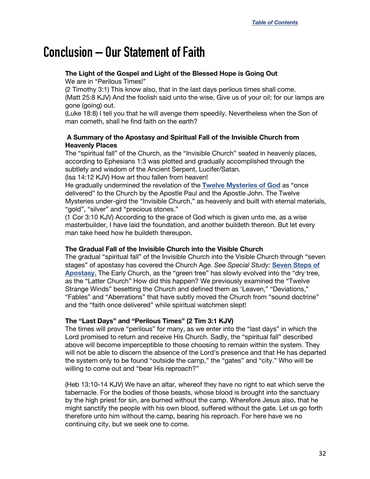# <span id="page-31-0"></span>**Conclusion – Our Statement of Faith**

#### **The Light of the Gospel and Light of the Blessed Hope is Going Out**

We are in "Perilous Times!"

(2 Timothy 3:1) This know also, that in the last days perilous times shall come. (Matt 25:8 KJV) And the foolish said unto the wise, Give us of your oil; for our lamps are gone (going) out.

(Luke 18:8) I tell you that he will avenge them speedily. Nevertheless when the Son of man cometh, shall he find faith on the earth?

#### **A Summary of the Apostasy and Spiritual Fall of the Invisible Church from Heavenly Places**

The "spiritual fall" of the Church, as the "Invisible Church" seated in heavenly places, according to Ephesians 1:3 was plotted and gradually accomplished through the subtlety and wisdom of the Ancient Serpent, Lucifer/Satan.

(Isa 14:12 KJV) How art thou fallen from heaven!

He gradually undermined the revelation of the **[Twelve Mysteries of God](https://graceassemblysandiego.info/wp-content/uploads/TwelveMysteriesofGod.pdf)** as "once delivered" to the Church by the Apostle Paul and the Apostle John. The Twelve Mysteries under-gird the "Invisible Church," as heavenly and built with eternal materials, "gold", "silver" and "precious stones."

(1 Cor 3:10 KJV) According to the grace of God which is given unto me, as a wise masterbuilder, I have laid the foundation, and another buildeth thereon. But let every man take heed how he buildeth thereupon.

#### **The Gradual Fall of the Invisible Church into the Visible Church**

The gradual "spiritual fall" of the Invisible Church into the Visible Church through "seven stages" of apostasy has covered the Church Age. *See Special Study:* **[Seven Steps of](https://graceassemblysandiego.info/wp-content/uploads/SevenStepsofApostasyopt.pdf)  [Apostasy](https://graceassemblysandiego.info/wp-content/uploads/SevenStepsofApostasyopt.pdf).** The Early Church, as the "green tree" has slowly evolved into the "dry tree, as the "Latter Church" How did this happen? We previously examined the "Twelve Strange Winds" besetting the Church and defined them as 'Leaven," "Deviations," "Fables" and "Aberrations" that have subtly moved the Church from "sound doctrine" and the "faith once delivered" while spiritual watchmen slept!

#### **The "Last Days" and "Perilous Times" (2 Tim 3:1 KJV)**

The times will prove "perilous" for many, as we enter into the "last days" in which the Lord promised to return and receive His Church. Sadly, the "spiritual fall" described above will become imperceptible to those choosing to remain within the system. They will not be able to discern the absence of the Lord's presence and that He has departed the system only to be found "outside the camp," the "gates" and "city." Who will be willing to come out and "bear His reproach?"

(Heb 13:10-14 KJV) We have an altar, whereof they have no right to eat which serve the tabernacle. For the bodies of those beasts, whose blood is brought into the sanctuary by the high priest for sin, are burned without the camp. Wherefore Jesus also, that he might sanctify the people with his own blood, suffered without the gate. Let us go forth therefore unto him without the camp, bearing his reproach. For here have we no continuing city, but we seek one to come.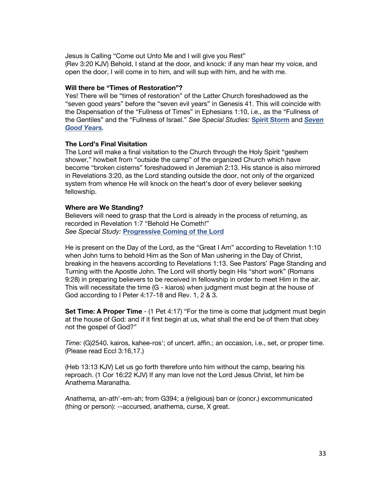Jesus is Calling "Come out Unto Me and I will give you Rest" (Rev 3:20 KJV) Behold, I stand at the door, and knock: if any man hear my voice, and open the door, I will come in to him, and will sup with him, and he with me.

#### **Will there be "Times of Restoration"?**

Yes! There will be "times of restoration" of the Latter Church foreshadowed as the "seven good years" before the "seven evil years" in Genesis 41. This will coincide with the Dispensation of the "Fullness of Times" in Ephesians 1:10, i.e., as the "Fullness of the Gentiles" and the "Fullness of Israel." *See Special Studies:* **Spirit [Storm](https://graceassemblysandiego.info/wp-content/uploads/SpiritStorm.pdf)** and *[Seven](https://graceassemblysandiego.info/wp-content/uploads/SevenGoodYearsandSevenEvilYears.pdf) Good [Years](https://graceassemblysandiego.info/wp-content/uploads/SevenGoodYearsandSevenEvilYears.pdf).* 

#### **The Lord's Final Visitation**

The Lord will make a final visitation to the Church through the Holy Spirit "geshem shower," howbeit from "outside the camp" of the organized Church which have become "broken cisterns" foreshadowed in Jeremiah 2:13. His stance is also mirrored in Revelations 3:20, as the Lord standing outside the door, not only of the organized system from whence He will knock on the heart's door of every believer seeking fellowship.

#### **Where are We Standing?**

Believers will need to grasp that the Lord is already in the process of returning, as recorded in Revelation 1:7 "Behold He Cometh!" *See Special Study:* **[Progressive Coming of the Lord](https://graceassemblysandiego.info/wp-content/uploads/ProgressiveComingoftheLordopt.pdf)**

He is present on the Day of the Lord, as the "Great I Am" according to Revelation 1:10 when John turns to behold Him as the Son of Man ushering in the Day of Christ, breaking in the heavens according to Revelations 1:13. See Pastors' Page Standing and Turning with the Apostle John. The Lord will shortly begin His "short work" (Romans 9:28) in preparing believers to be received in fellowship in order to meet Him in the air. This will necessitate the time (G - kiaros) when judgment must begin at the house of God according to I Peter 4:17-18 and Rev. 1, 2 & 3.

**Set Time: A Proper Time** - (1 Pet 4:17) "For the time is come that judgment must begin at the house of God: and if it first begin at us, what shall the end be of them that obey not the gospel of God?"

*Time:* (G)2540. kairos, kahee-ros'; of uncert. affin.; an occasion, i.e., set, or proper time. (Please read Eccl 3:16,17.)

(Heb 13:13 KJV) Let us go forth therefore unto him without the camp, bearing his reproach. (1 Cor 16:22 KJV) If any man love not the Lord Jesus Christ, let him be Anathema Maranatha.

*Anathema,* an-ath'-em-ah; from G394; a (religious) ban or (concr.) excommunicated (thing or person): --accursed, anathema, curse, X great.